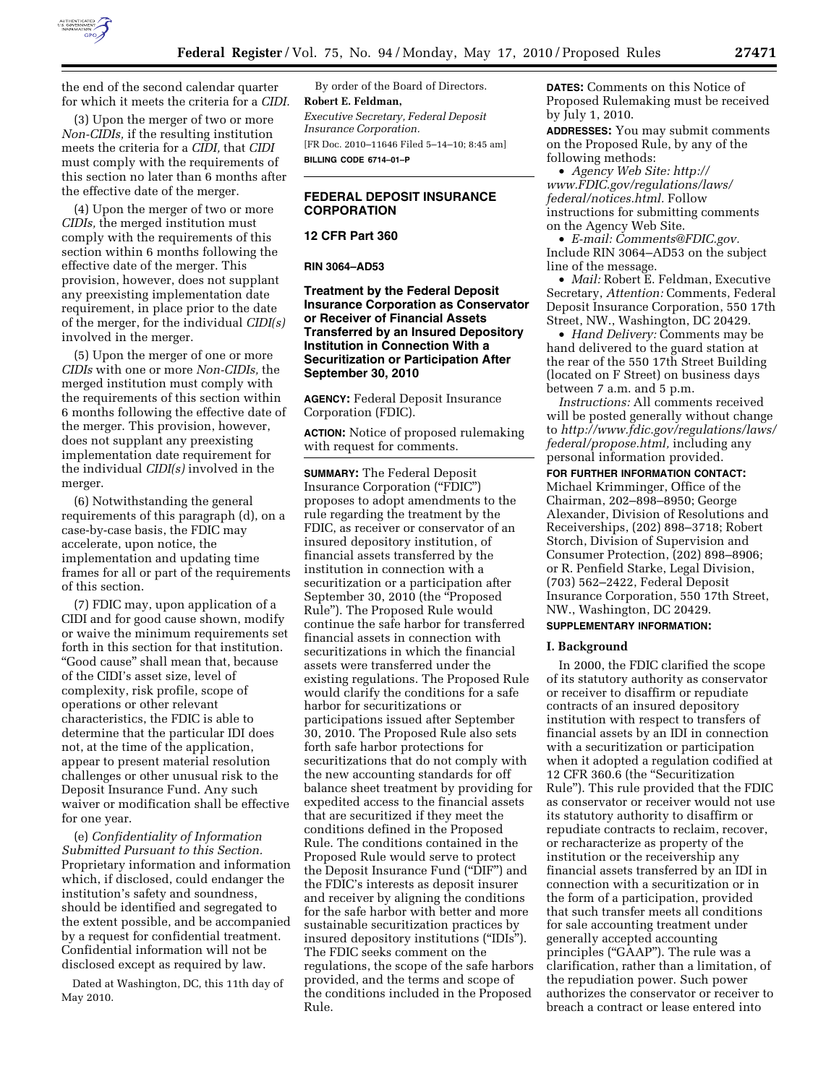

the end of the second calendar quarter for which it meets the criteria for a *CIDI.* 

(3) Upon the merger of two or more *Non-CIDIs,* if the resulting institution meets the criteria for a *CIDI,* that *CIDI*  must comply with the requirements of this section no later than 6 months after the effective date of the merger.

(4) Upon the merger of two or more *CIDIs,* the merged institution must comply with the requirements of this section within 6 months following the effective date of the merger. This provision, however, does not supplant any preexisting implementation date requirement, in place prior to the date of the merger, for the individual *CIDI(s)*  involved in the merger.

(5) Upon the merger of one or more *CIDIs* with one or more *Non-CIDIs,* the merged institution must comply with the requirements of this section within 6 months following the effective date of the merger. This provision, however, does not supplant any preexisting implementation date requirement for the individual *CIDI(s)* involved in the merger.

(6) Notwithstanding the general requirements of this paragraph (d), on a case-by-case basis, the FDIC may accelerate, upon notice, the implementation and updating time frames for all or part of the requirements of this section.

(7) FDIC may, upon application of a CIDI and for good cause shown, modify or waive the minimum requirements set forth in this section for that institution. ''Good cause'' shall mean that, because of the CIDI's asset size, level of complexity, risk profile, scope of operations or other relevant characteristics, the FDIC is able to determine that the particular IDI does not, at the time of the application, appear to present material resolution challenges or other unusual risk to the Deposit Insurance Fund. Any such waiver or modification shall be effective for one year.

(e) *Confidentiality of Information Submitted Pursuant to this Section.*  Proprietary information and information which, if disclosed, could endanger the institution's safety and soundness, should be identified and segregated to the extent possible, and be accompanied by a request for confidential treatment. Confidential information will not be disclosed except as required by law.

Dated at Washington, DC, this 11th day of May 2010.

By order of the Board of Directors. **Robert E. Feldman,**  *Executive Secretary, Federal Deposit Insurance Corporation.*  [FR Doc. 2010–11646 Filed 5–14–10; 8:45 am] **BILLING CODE 6714–01–P** 

# **FEDERAL DEPOSIT INSURANCE CORPORATION**

**12 CFR Part 360** 

**RIN 3064–AD53** 

**Treatment by the Federal Deposit Insurance Corporation as Conservator or Receiver of Financial Assets Transferred by an Insured Depository Institution in Connection With a Securitization or Participation After September 30, 2010** 

**AGENCY:** Federal Deposit Insurance Corporation (FDIC).

**ACTION:** Notice of proposed rulemaking with request for comments.

**SUMMARY:** The Federal Deposit Insurance Corporation (''FDIC'') proposes to adopt amendments to the rule regarding the treatment by the FDIC, as receiver or conservator of an insured depository institution, of financial assets transferred by the institution in connection with a securitization or a participation after September 30, 2010 (the ''Proposed Rule''). The Proposed Rule would continue the safe harbor for transferred financial assets in connection with securitizations in which the financial assets were transferred under the existing regulations. The Proposed Rule would clarify the conditions for a safe harbor for securitizations or participations issued after September 30, 2010. The Proposed Rule also sets forth safe harbor protections for securitizations that do not comply with the new accounting standards for off balance sheet treatment by providing for expedited access to the financial assets that are securitized if they meet the conditions defined in the Proposed Rule. The conditions contained in the Proposed Rule would serve to protect the Deposit Insurance Fund (''DIF'') and the FDIC's interests as deposit insurer and receiver by aligning the conditions for the safe harbor with better and more sustainable securitization practices by insured depository institutions (''IDIs''). The FDIC seeks comment on the regulations, the scope of the safe harbors provided, and the terms and scope of the conditions included in the Proposed Rule.

**DATES:** Comments on this Notice of Proposed Rulemaking must be received by July 1, 2010.

**ADDRESSES:** You may submit comments on the Proposed Rule, by any of the following methods:

• *Agency Web Site: http:// www.FDIC.gov/regulations/laws/ federal/notices.html.* Follow instructions for submitting comments on the Agency Web Site.

• *E-mail: Comments@FDIC.gov.*  Include RIN 3064–AD53 on the subject line of the message.

• *Mail:* Robert E. Feldman, Executive Secretary, *Attention:* Comments, Federal Deposit Insurance Corporation, 550 17th Street, NW., Washington, DC 20429.

• *Hand Delivery:* Comments may be hand delivered to the guard station at the rear of the 550 17th Street Building (located on F Street) on business days between 7 a.m. and 5 p.m.

*Instructions:* All comments received will be posted generally without change to *http://www.fdic.gov/regulations/laws/ federal/propose.html,* including any personal information provided.

**FOR FURTHER INFORMATION CONTACT:**  Michael Krimminger, Office of the Chairman, 202–898–8950; George Alexander, Division of Resolutions and Receiverships, (202) 898–3718; Robert Storch, Division of Supervision and Consumer Protection, (202) 898–8906; or R. Penfield Starke, Legal Division, (703) 562–2422, Federal Deposit Insurance Corporation, 550 17th Street, NW., Washington, DC 20429.

## **SUPPLEMENTARY INFORMATION:**

## **I. Background**

In 2000, the FDIC clarified the scope of its statutory authority as conservator or receiver to disaffirm or repudiate contracts of an insured depository institution with respect to transfers of financial assets by an IDI in connection with a securitization or participation when it adopted a regulation codified at 12 CFR 360.6 (the ''Securitization Rule''). This rule provided that the FDIC as conservator or receiver would not use its statutory authority to disaffirm or repudiate contracts to reclaim, recover, or recharacterize as property of the institution or the receivership any financial assets transferred by an IDI in connection with a securitization or in the form of a participation, provided that such transfer meets all conditions for sale accounting treatment under generally accepted accounting principles ("GAAP"). The rule was a clarification, rather than a limitation, of the repudiation power. Such power authorizes the conservator or receiver to breach a contract or lease entered into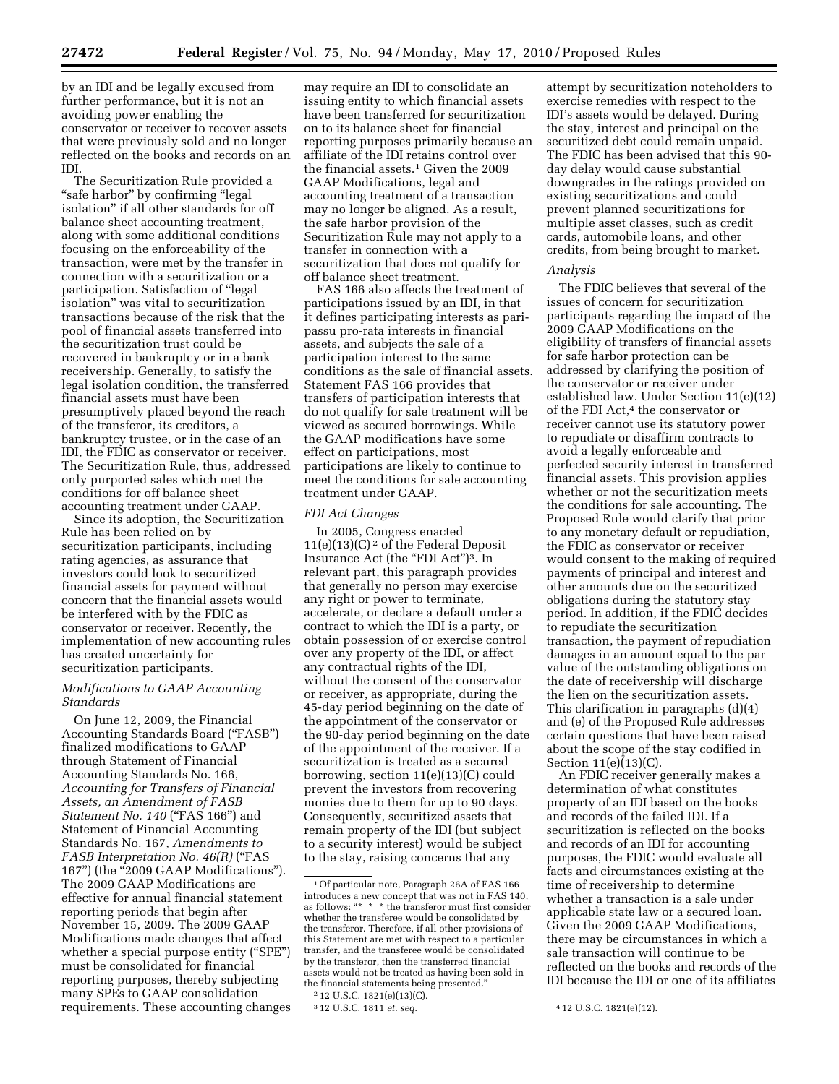by an IDI and be legally excused from further performance, but it is not an avoiding power enabling the conservator or receiver to recover assets that were previously sold and no longer reflected on the books and records on an IDI.

The Securitization Rule provided a "safe harbor" by confirming "legal isolation'' if all other standards for off balance sheet accounting treatment, along with some additional conditions focusing on the enforceability of the transaction, were met by the transfer in connection with a securitization or a participation. Satisfaction of ''legal isolation'' was vital to securitization transactions because of the risk that the pool of financial assets transferred into the securitization trust could be recovered in bankruptcy or in a bank receivership. Generally, to satisfy the legal isolation condition, the transferred financial assets must have been presumptively placed beyond the reach of the transferor, its creditors, a bankruptcy trustee, or in the case of an IDI, the FDIC as conservator or receiver. The Securitization Rule, thus, addressed only purported sales which met the conditions for off balance sheet accounting treatment under GAAP.

Since its adoption, the Securitization Rule has been relied on by securitization participants, including rating agencies, as assurance that investors could look to securitized financial assets for payment without concern that the financial assets would be interfered with by the FDIC as conservator or receiver. Recently, the implementation of new accounting rules has created uncertainty for securitization participants.

## *Modifications to GAAP Accounting Standards*

On June 12, 2009, the Financial Accounting Standards Board (''FASB'') finalized modifications to GAAP through Statement of Financial Accounting Standards No. 166, *Accounting for Transfers of Financial Assets, an Amendment of FASB Statement No. 140* ("FAS 166") and Statement of Financial Accounting Standards No. 167, *Amendments to FASB Interpretation No. 46(R)* ("FAS 167'') (the ''2009 GAAP Modifications''). The 2009 GAAP Modifications are effective for annual financial statement reporting periods that begin after November 15, 2009. The 2009 GAAP Modifications made changes that affect whether a special purpose entity ("SPE") must be consolidated for financial reporting purposes, thereby subjecting many SPEs to GAAP consolidation requirements. These accounting changes

may require an IDI to consolidate an issuing entity to which financial assets have been transferred for securitization on to its balance sheet for financial reporting purposes primarily because an affiliate of the IDI retains control over the financial assets.<sup>1</sup> Given the 2009 GAAP Modifications, legal and accounting treatment of a transaction may no longer be aligned. As a result, the safe harbor provision of the Securitization Rule may not apply to a transfer in connection with a securitization that does not qualify for off balance sheet treatment.

FAS 166 also affects the treatment of participations issued by an IDI, in that it defines participating interests as paripassu pro-rata interests in financial assets, and subjects the sale of a participation interest to the same conditions as the sale of financial assets. Statement FAS 166 provides that transfers of participation interests that do not qualify for sale treatment will be viewed as secured borrowings. While the GAAP modifications have some effect on participations, most participations are likely to continue to meet the conditions for sale accounting treatment under GAAP.

## *FDI Act Changes*

In 2005, Congress enacted  $11(e)(13)(C)^2$  of the Federal Deposit Insurance Act (the "FDI Act")<sup>3</sup>. In relevant part, this paragraph provides that generally no person may exercise any right or power to terminate, accelerate, or declare a default under a contract to which the IDI is a party, or obtain possession of or exercise control over any property of the IDI, or affect any contractual rights of the IDI, without the consent of the conservator or receiver, as appropriate, during the 45-day period beginning on the date of the appointment of the conservator or the 90-day period beginning on the date of the appointment of the receiver. If a securitization is treated as a secured borrowing, section 11(e)(13)(C) could prevent the investors from recovering monies due to them for up to 90 days. Consequently, securitized assets that remain property of the IDI (but subject to a security interest) would be subject to the stay, raising concerns that any

2 12 U.S.C. 1821(e)(13)(C).

attempt by securitization noteholders to exercise remedies with respect to the IDI's assets would be delayed. During the stay, interest and principal on the securitized debt could remain unpaid. The FDIC has been advised that this 90 day delay would cause substantial downgrades in the ratings provided on existing securitizations and could prevent planned securitizations for multiple asset classes, such as credit cards, automobile loans, and other credits, from being brought to market.

#### *Analysis*

The FDIC believes that several of the issues of concern for securitization participants regarding the impact of the 2009 GAAP Modifications on the eligibility of transfers of financial assets for safe harbor protection can be addressed by clarifying the position of the conservator or receiver under established law. Under Section 11(e)(12) of the FDI Act,<sup>4</sup> the conservator or receiver cannot use its statutory power to repudiate or disaffirm contracts to avoid a legally enforceable and perfected security interest in transferred financial assets. This provision applies whether or not the securitization meets the conditions for sale accounting. The Proposed Rule would clarify that prior to any monetary default or repudiation, the FDIC as conservator or receiver would consent to the making of required payments of principal and interest and other amounts due on the securitized obligations during the statutory stay period. In addition, if the FDIC decides to repudiate the securitization transaction, the payment of repudiation damages in an amount equal to the par value of the outstanding obligations on the date of receivership will discharge the lien on the securitization assets. This clarification in paragraphs (d)(4) and (e) of the Proposed Rule addresses certain questions that have been raised about the scope of the stay codified in Section 11(e)(13)(C).

An FDIC receiver generally makes a determination of what constitutes property of an IDI based on the books and records of the failed IDI. If a securitization is reflected on the books and records of an IDI for accounting purposes, the FDIC would evaluate all facts and circumstances existing at the time of receivership to determine whether a transaction is a sale under applicable state law or a secured loan. Given the 2009 GAAP Modifications, there may be circumstances in which a sale transaction will continue to be reflected on the books and records of the IDI because the IDI or one of its affiliates

<sup>1</sup>Of particular note, Paragraph 26A of FAS 166 introduces a new concept that was not in FAS 140, as follows: "\* \* \* the transferor must first consider whether the transferee would be consolidated by the transferor. Therefore, if all other provisions of this Statement are met with respect to a particular transfer, and the transferee would be consolidated by the transferor, then the transferred financial assets would not be treated as having been sold in the financial statements being presented.''

<sup>3</sup> 12 U.S.C. 1811 *et. seq.* 4 12 U.S.C. 1821(e)(12).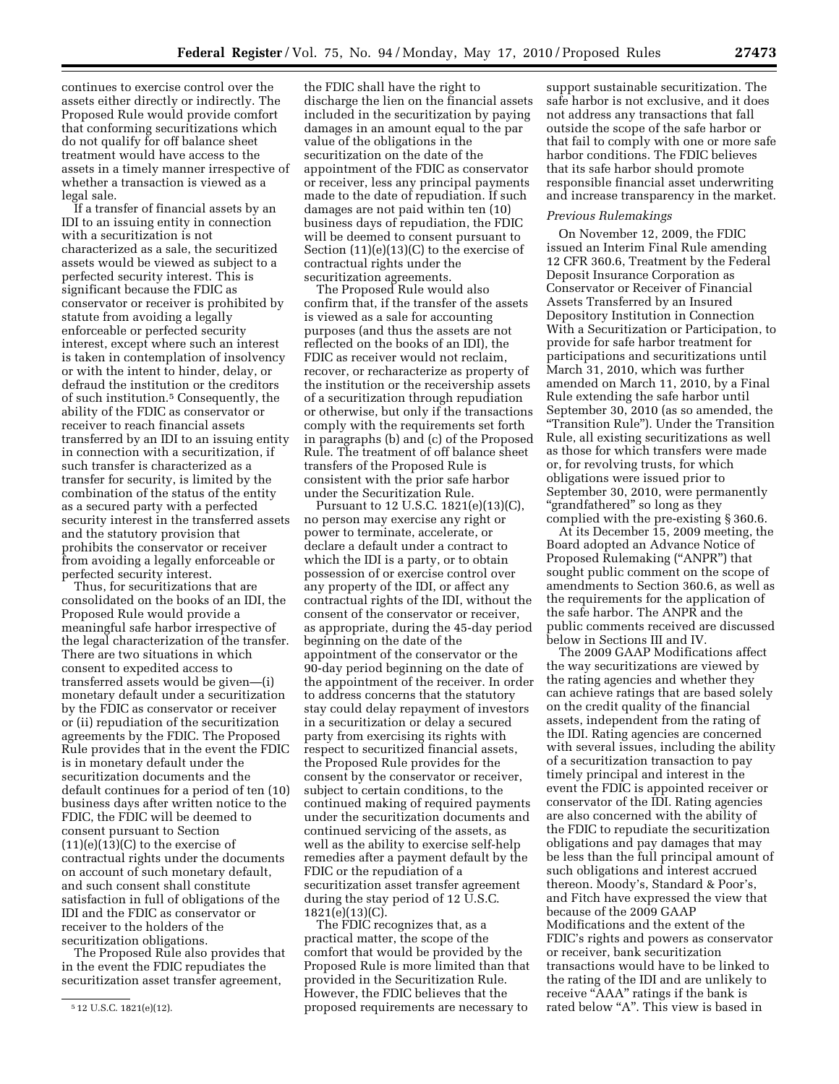continues to exercise control over the assets either directly or indirectly. The Proposed Rule would provide comfort that conforming securitizations which do not qualify for off balance sheet treatment would have access to the assets in a timely manner irrespective of whether a transaction is viewed as a legal sale.

If a transfer of financial assets by an IDI to an issuing entity in connection with a securitization is not characterized as a sale, the securitized assets would be viewed as subject to a perfected security interest. This is significant because the FDIC as conservator or receiver is prohibited by statute from avoiding a legally enforceable or perfected security interest, except where such an interest is taken in contemplation of insolvency or with the intent to hinder, delay, or defraud the institution or the creditors of such institution.5 Consequently, the ability of the FDIC as conservator or receiver to reach financial assets transferred by an IDI to an issuing entity in connection with a securitization, if such transfer is characterized as a transfer for security, is limited by the combination of the status of the entity as a secured party with a perfected security interest in the transferred assets and the statutory provision that prohibits the conservator or receiver from avoiding a legally enforceable or perfected security interest.

Thus, for securitizations that are consolidated on the books of an IDI, the Proposed Rule would provide a meaningful safe harbor irrespective of the legal characterization of the transfer. There are two situations in which consent to expedited access to transferred assets would be given—(i) monetary default under a securitization by the FDIC as conservator or receiver or (ii) repudiation of the securitization agreements by the FDIC. The Proposed Rule provides that in the event the FDIC is in monetary default under the securitization documents and the default continues for a period of ten (10) business days after written notice to the FDIC, the FDIC will be deemed to consent pursuant to Section  $(11)(e)(13)(C)$  to the exercise of contractual rights under the documents on account of such monetary default, and such consent shall constitute satisfaction in full of obligations of the IDI and the FDIC as conservator or receiver to the holders of the securitization obligations.

The Proposed Rule also provides that in the event the FDIC repudiates the securitization asset transfer agreement,

the FDIC shall have the right to discharge the lien on the financial assets included in the securitization by paying damages in an amount equal to the par value of the obligations in the securitization on the date of the appointment of the FDIC as conservator or receiver, less any principal payments made to the date of repudiation. If such damages are not paid within ten (10) business days of repudiation, the FDIC will be deemed to consent pursuant to Section (11)(e)(13)(C) to the exercise of contractual rights under the securitization agreements.

The Proposed Rule would also confirm that, if the transfer of the assets is viewed as a sale for accounting purposes (and thus the assets are not reflected on the books of an IDI), the FDIC as receiver would not reclaim, recover, or recharacterize as property of the institution or the receivership assets of a securitization through repudiation or otherwise, but only if the transactions comply with the requirements set forth in paragraphs (b) and (c) of the Proposed Rule. The treatment of off balance sheet transfers of the Proposed Rule is consistent with the prior safe harbor under the Securitization Rule.

Pursuant to 12 U.S.C. 1821(e)(13)(C), no person may exercise any right or power to terminate, accelerate, or declare a default under a contract to which the IDI is a party, or to obtain possession of or exercise control over any property of the IDI, or affect any contractual rights of the IDI, without the consent of the conservator or receiver, as appropriate, during the 45-day period beginning on the date of the appointment of the conservator or the 90-day period beginning on the date of the appointment of the receiver. In order to address concerns that the statutory stay could delay repayment of investors in a securitization or delay a secured party from exercising its rights with respect to securitized financial assets, the Proposed Rule provides for the consent by the conservator or receiver, subject to certain conditions, to the continued making of required payments under the securitization documents and continued servicing of the assets, as well as the ability to exercise self-help remedies after a payment default by the FDIC or the repudiation of a securitization asset transfer agreement during the stay period of 12 U.S.C. 1821(e)(13)(C).

The FDIC recognizes that, as a practical matter, the scope of the comfort that would be provided by the Proposed Rule is more limited than that provided in the Securitization Rule. However, the FDIC believes that the proposed requirements are necessary to

support sustainable securitization. The safe harbor is not exclusive, and it does not address any transactions that fall outside the scope of the safe harbor or that fail to comply with one or more safe harbor conditions. The FDIC believes that its safe harbor should promote responsible financial asset underwriting and increase transparency in the market.

## *Previous Rulemakings*

On November 12, 2009, the FDIC issued an Interim Final Rule amending 12 CFR 360.6, Treatment by the Federal Deposit Insurance Corporation as Conservator or Receiver of Financial Assets Transferred by an Insured Depository Institution in Connection With a Securitization or Participation, to provide for safe harbor treatment for participations and securitizations until March 31, 2010, which was further amended on March 11, 2010, by a Final Rule extending the safe harbor until September 30, 2010 (as so amended, the ''Transition Rule''). Under the Transition Rule, all existing securitizations as well as those for which transfers were made or, for revolving trusts, for which obligations were issued prior to September 30, 2010, were permanently ''grandfathered'' so long as they complied with the pre-existing § 360.6.

At its December 15, 2009 meeting, the Board adopted an Advance Notice of Proposed Rulemaking (''ANPR'') that sought public comment on the scope of amendments to Section 360.6, as well as the requirements for the application of the safe harbor. The ANPR and the public comments received are discussed below in Sections III and IV.

The 2009 GAAP Modifications affect the way securitizations are viewed by the rating agencies and whether they can achieve ratings that are based solely on the credit quality of the financial assets, independent from the rating of the IDI. Rating agencies are concerned with several issues, including the ability of a securitization transaction to pay timely principal and interest in the event the FDIC is appointed receiver or conservator of the IDI. Rating agencies are also concerned with the ability of the FDIC to repudiate the securitization obligations and pay damages that may be less than the full principal amount of such obligations and interest accrued thereon. Moody's, Standard & Poor's, and Fitch have expressed the view that because of the 2009 GAAP Modifications and the extent of the FDIC's rights and powers as conservator or receiver, bank securitization transactions would have to be linked to the rating of the IDI and are unlikely to receive "AAA" ratings if the bank is rated below "A". This view is based in

<sup>5</sup> 12 U.S.C. 1821(e)(12).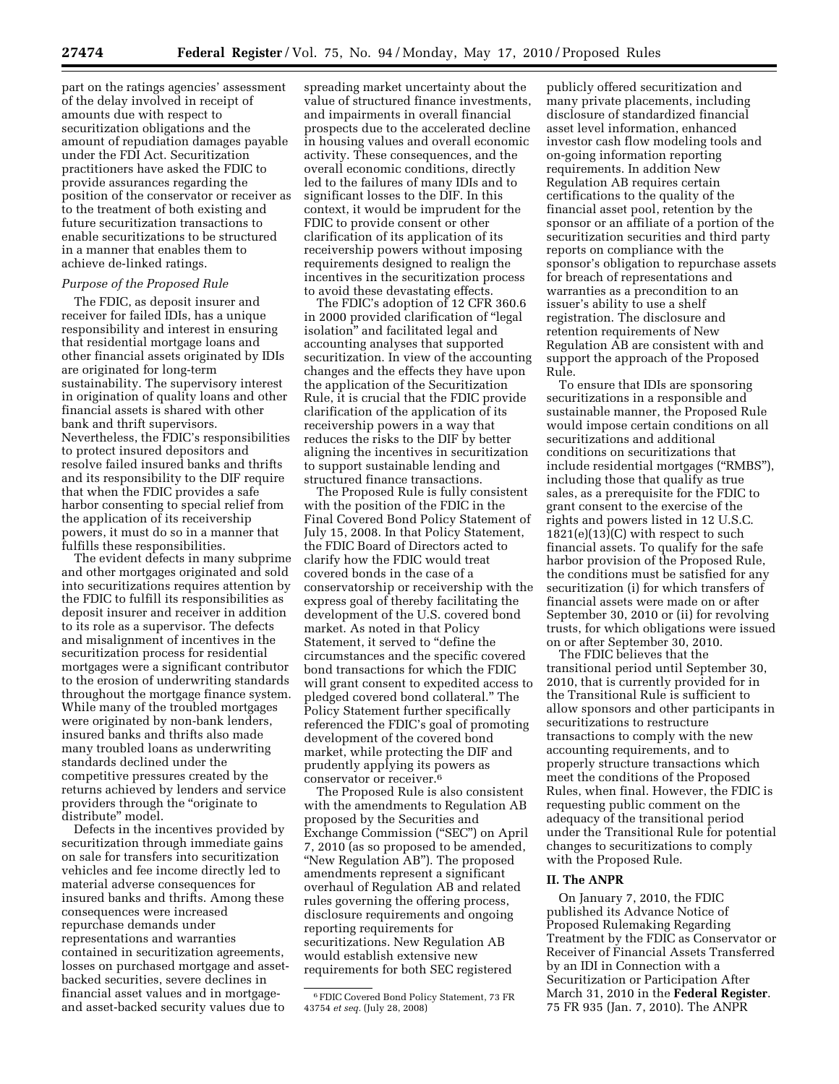part on the ratings agencies' assessment of the delay involved in receipt of amounts due with respect to securitization obligations and the amount of repudiation damages payable under the FDI Act. Securitization practitioners have asked the FDIC to provide assurances regarding the position of the conservator or receiver as to the treatment of both existing and future securitization transactions to enable securitizations to be structured in a manner that enables them to achieve de-linked ratings.

## *Purpose of the Proposed Rule*

The FDIC, as deposit insurer and receiver for failed IDIs, has a unique responsibility and interest in ensuring that residential mortgage loans and other financial assets originated by IDIs are originated for long-term sustainability. The supervisory interest in origination of quality loans and other financial assets is shared with other bank and thrift supervisors. Nevertheless, the FDIC's responsibilities to protect insured depositors and resolve failed insured banks and thrifts and its responsibility to the DIF require that when the FDIC provides a safe harbor consenting to special relief from the application of its receivership powers, it must do so in a manner that fulfills these responsibilities.

The evident defects in many subprime and other mortgages originated and sold into securitizations requires attention by the FDIC to fulfill its responsibilities as deposit insurer and receiver in addition to its role as a supervisor. The defects and misalignment of incentives in the securitization process for residential mortgages were a significant contributor to the erosion of underwriting standards throughout the mortgage finance system. While many of the troubled mortgages were originated by non-bank lenders, insured banks and thrifts also made many troubled loans as underwriting standards declined under the competitive pressures created by the returns achieved by lenders and service providers through the "originate to distribute'' model.

Defects in the incentives provided by securitization through immediate gains on sale for transfers into securitization vehicles and fee income directly led to material adverse consequences for insured banks and thrifts. Among these consequences were increased repurchase demands under representations and warranties contained in securitization agreements, losses on purchased mortgage and assetbacked securities, severe declines in financial asset values and in mortgageand asset-backed security values due to

spreading market uncertainty about the value of structured finance investments, and impairments in overall financial prospects due to the accelerated decline in housing values and overall economic activity. These consequences, and the overall economic conditions, directly led to the failures of many IDIs and to significant losses to the DIF. In this context, it would be imprudent for the FDIC to provide consent or other clarification of its application of its receivership powers without imposing requirements designed to realign the incentives in the securitization process to avoid these devastating effects.

The FDIC's adoption of 12 CFR 360.6 in 2000 provided clarification of ''legal isolation'' and facilitated legal and accounting analyses that supported securitization. In view of the accounting changes and the effects they have upon the application of the Securitization Rule, it is crucial that the FDIC provide clarification of the application of its receivership powers in a way that reduces the risks to the DIF by better aligning the incentives in securitization to support sustainable lending and structured finance transactions.

The Proposed Rule is fully consistent with the position of the FDIC in the Final Covered Bond Policy Statement of July 15, 2008. In that Policy Statement, the FDIC Board of Directors acted to clarify how the FDIC would treat covered bonds in the case of a conservatorship or receivership with the express goal of thereby facilitating the development of the U.S. covered bond market. As noted in that Policy Statement, it served to ''define the circumstances and the specific covered bond transactions for which the FDIC will grant consent to expedited access to pledged covered bond collateral.'' The Policy Statement further specifically referenced the FDIC's goal of promoting development of the covered bond market, while protecting the DIF and prudently applying its powers as conservator or receiver.6

The Proposed Rule is also consistent with the amendments to Regulation AB proposed by the Securities and Exchange Commission (''SEC'') on April 7, 2010 (as so proposed to be amended, ''New Regulation AB''). The proposed amendments represent a significant overhaul of Regulation AB and related rules governing the offering process, disclosure requirements and ongoing reporting requirements for securitizations. New Regulation AB would establish extensive new requirements for both SEC registered

publicly offered securitization and many private placements, including disclosure of standardized financial asset level information, enhanced investor cash flow modeling tools and on-going information reporting requirements. In addition New Regulation AB requires certain certifications to the quality of the financial asset pool, retention by the sponsor or an affiliate of a portion of the securitization securities and third party reports on compliance with the sponsor's obligation to repurchase assets for breach of representations and warranties as a precondition to an issuer's ability to use a shelf registration. The disclosure and retention requirements of New Regulation AB are consistent with and support the approach of the Proposed Rule.

To ensure that IDIs are sponsoring securitizations in a responsible and sustainable manner, the Proposed Rule would impose certain conditions on all securitizations and additional conditions on securitizations that include residential mortgages (''RMBS''), including those that qualify as true sales, as a prerequisite for the FDIC to grant consent to the exercise of the rights and powers listed in 12 U.S.C.  $1821(e)(13)(C)$  with respect to such financial assets. To qualify for the safe harbor provision of the Proposed Rule, the conditions must be satisfied for any securitization (i) for which transfers of financial assets were made on or after September 30, 2010 or (ii) for revolving trusts, for which obligations were issued on or after September 30, 2010.

The FDIC believes that the transitional period until September 30, 2010, that is currently provided for in the Transitional Rule is sufficient to allow sponsors and other participants in securitizations to restructure transactions to comply with the new accounting requirements, and to properly structure transactions which meet the conditions of the Proposed Rules, when final. However, the FDIC is requesting public comment on the adequacy of the transitional period under the Transitional Rule for potential changes to securitizations to comply with the Proposed Rule.

## **II. The ANPR**

On January 7, 2010, the FDIC published its Advance Notice of Proposed Rulemaking Regarding Treatment by the FDIC as Conservator or Receiver of Financial Assets Transferred by an IDI in Connection with a Securitization or Participation After March 31, 2010 in the **Federal Register**. 75 FR 935 (Jan. 7, 2010). The ANPR

<sup>6</sup>FDIC Covered Bond Policy Statement, 73 FR 43754 *et seq.* (July 28, 2008)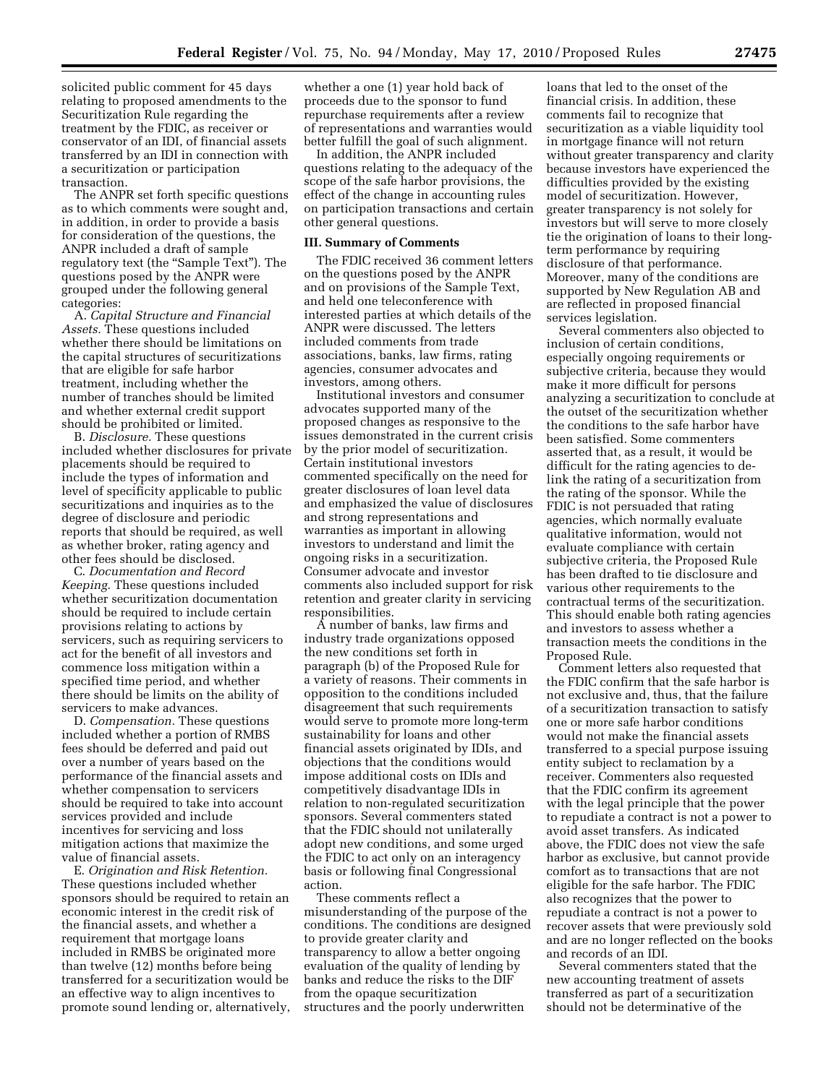solicited public comment for 45 days relating to proposed amendments to the Securitization Rule regarding the treatment by the FDIC, as receiver or conservator of an IDI, of financial assets transferred by an IDI in connection with a securitization or participation transaction.

The ANPR set forth specific questions as to which comments were sought and, in addition, in order to provide a basis for consideration of the questions, the ANPR included a draft of sample regulatory text (the "Sample Text"). The questions posed by the ANPR were grouped under the following general categories:

A. *Capital Structure and Financial Assets.* These questions included whether there should be limitations on the capital structures of securitizations that are eligible for safe harbor treatment, including whether the number of tranches should be limited and whether external credit support should be prohibited or limited.

B. *Disclosure.* These questions included whether disclosures for private placements should be required to include the types of information and level of specificity applicable to public securitizations and inquiries as to the degree of disclosure and periodic reports that should be required, as well as whether broker, rating agency and other fees should be disclosed.

C. *Documentation and Record Keeping.* These questions included whether securitization documentation should be required to include certain provisions relating to actions by servicers, such as requiring servicers to act for the benefit of all investors and commence loss mitigation within a specified time period, and whether there should be limits on the ability of servicers to make advances.

D. *Compensation.* These questions included whether a portion of RMBS fees should be deferred and paid out over a number of years based on the performance of the financial assets and whether compensation to servicers should be required to take into account services provided and include incentives for servicing and loss mitigation actions that maximize the value of financial assets.

E. *Origination and Risk Retention.*  These questions included whether sponsors should be required to retain an economic interest in the credit risk of the financial assets, and whether a requirement that mortgage loans included in RMBS be originated more than twelve (12) months before being transferred for a securitization would be an effective way to align incentives to promote sound lending or, alternatively, whether a one (1) year hold back of proceeds due to the sponsor to fund repurchase requirements after a review of representations and warranties would better fulfill the goal of such alignment.

In addition, the ANPR included questions relating to the adequacy of the scope of the safe harbor provisions, the effect of the change in accounting rules on participation transactions and certain other general questions.

#### **III. Summary of Comments**

The FDIC received 36 comment letters on the questions posed by the ANPR and on provisions of the Sample Text, and held one teleconference with interested parties at which details of the ANPR were discussed. The letters included comments from trade associations, banks, law firms, rating agencies, consumer advocates and investors, among others.

Institutional investors and consumer advocates supported many of the proposed changes as responsive to the issues demonstrated in the current crisis by the prior model of securitization. Certain institutional investors commented specifically on the need for greater disclosures of loan level data and emphasized the value of disclosures and strong representations and warranties as important in allowing investors to understand and limit the ongoing risks in a securitization. Consumer advocate and investor comments also included support for risk retention and greater clarity in servicing responsibilities.

A number of banks, law firms and industry trade organizations opposed the new conditions set forth in paragraph (b) of the Proposed Rule for a variety of reasons. Their comments in opposition to the conditions included disagreement that such requirements would serve to promote more long-term sustainability for loans and other financial assets originated by IDIs, and objections that the conditions would impose additional costs on IDIs and competitively disadvantage IDIs in relation to non-regulated securitization sponsors. Several commenters stated that the FDIC should not unilaterally adopt new conditions, and some urged the FDIC to act only on an interagency basis or following final Congressional action.

These comments reflect a misunderstanding of the purpose of the conditions. The conditions are designed to provide greater clarity and transparency to allow a better ongoing evaluation of the quality of lending by banks and reduce the risks to the DIF from the opaque securitization structures and the poorly underwritten

loans that led to the onset of the financial crisis. In addition, these comments fail to recognize that securitization as a viable liquidity tool in mortgage finance will not return without greater transparency and clarity because investors have experienced the difficulties provided by the existing model of securitization. However, greater transparency is not solely for investors but will serve to more closely tie the origination of loans to their longterm performance by requiring disclosure of that performance. Moreover, many of the conditions are supported by New Regulation AB and are reflected in proposed financial services legislation.

Several commenters also objected to inclusion of certain conditions, especially ongoing requirements or subjective criteria, because they would make it more difficult for persons analyzing a securitization to conclude at the outset of the securitization whether the conditions to the safe harbor have been satisfied. Some commenters asserted that, as a result, it would be difficult for the rating agencies to delink the rating of a securitization from the rating of the sponsor. While the FDIC is not persuaded that rating agencies, which normally evaluate qualitative information, would not evaluate compliance with certain subjective criteria, the Proposed Rule has been drafted to tie disclosure and various other requirements to the contractual terms of the securitization. This should enable both rating agencies and investors to assess whether a transaction meets the conditions in the Proposed Rule.

Comment letters also requested that the FDIC confirm that the safe harbor is not exclusive and, thus, that the failure of a securitization transaction to satisfy one or more safe harbor conditions would not make the financial assets transferred to a special purpose issuing entity subject to reclamation by a receiver. Commenters also requested that the FDIC confirm its agreement with the legal principle that the power to repudiate a contract is not a power to avoid asset transfers. As indicated above, the FDIC does not view the safe harbor as exclusive, but cannot provide comfort as to transactions that are not eligible for the safe harbor. The FDIC also recognizes that the power to repudiate a contract is not a power to recover assets that were previously sold and are no longer reflected on the books and records of an IDI.

Several commenters stated that the new accounting treatment of assets transferred as part of a securitization should not be determinative of the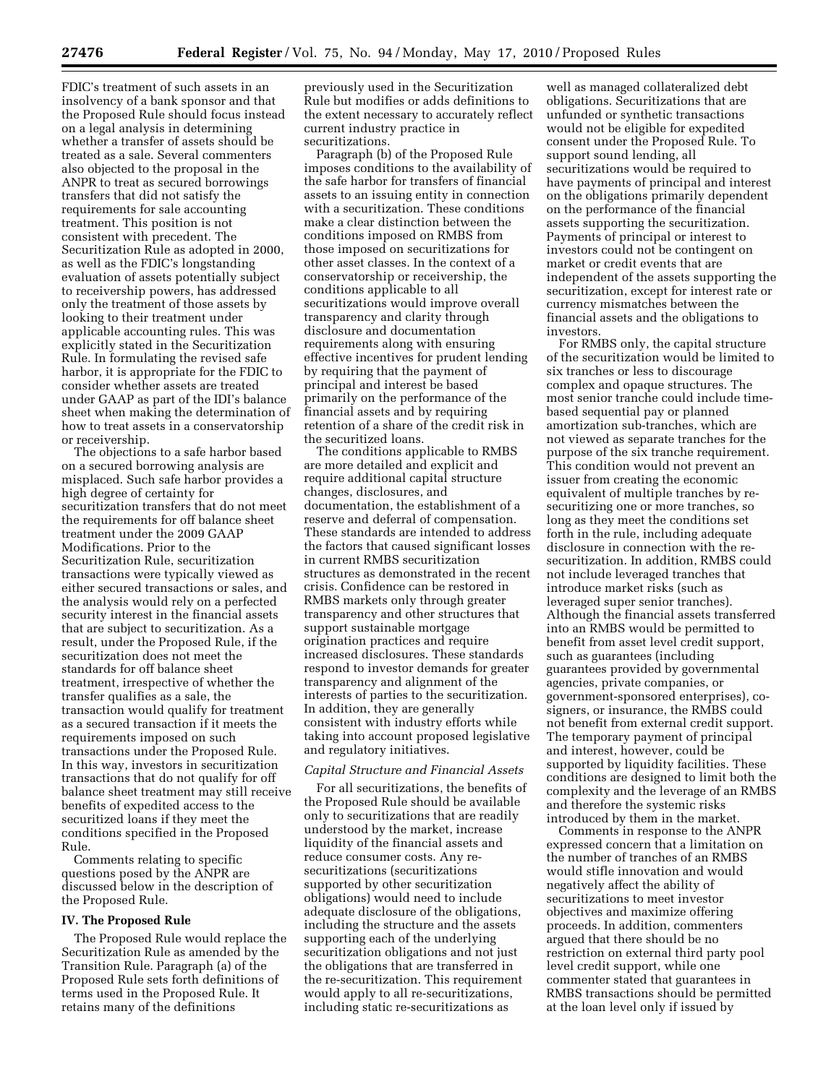FDIC's treatment of such assets in an insolvency of a bank sponsor and that the Proposed Rule should focus instead on a legal analysis in determining whether a transfer of assets should be treated as a sale. Several commenters also objected to the proposal in the ANPR to treat as secured borrowings transfers that did not satisfy the requirements for sale accounting treatment. This position is not consistent with precedent. The Securitization Rule as adopted in 2000, as well as the FDIC's longstanding evaluation of assets potentially subject to receivership powers, has addressed only the treatment of those assets by looking to their treatment under applicable accounting rules. This was explicitly stated in the Securitization Rule. In formulating the revised safe harbor, it is appropriate for the FDIC to consider whether assets are treated under GAAP as part of the IDI's balance sheet when making the determination of how to treat assets in a conservatorship or receivership.

The objections to a safe harbor based on a secured borrowing analysis are misplaced. Such safe harbor provides a high degree of certainty for securitization transfers that do not meet the requirements for off balance sheet treatment under the 2009 GAAP Modifications. Prior to the Securitization Rule, securitization transactions were typically viewed as either secured transactions or sales, and the analysis would rely on a perfected security interest in the financial assets that are subject to securitization. As a result, under the Proposed Rule, if the securitization does not meet the standards for off balance sheet treatment, irrespective of whether the transfer qualifies as a sale, the transaction would qualify for treatment as a secured transaction if it meets the requirements imposed on such transactions under the Proposed Rule. In this way, investors in securitization transactions that do not qualify for off balance sheet treatment may still receive benefits of expedited access to the securitized loans if they meet the conditions specified in the Proposed Rule.

Comments relating to specific questions posed by the ANPR are discussed below in the description of the Proposed Rule.

## **IV. The Proposed Rule**

The Proposed Rule would replace the Securitization Rule as amended by the Transition Rule. Paragraph (a) of the Proposed Rule sets forth definitions of terms used in the Proposed Rule. It retains many of the definitions

previously used in the Securitization Rule but modifies or adds definitions to the extent necessary to accurately reflect current industry practice in securitizations.

Paragraph (b) of the Proposed Rule imposes conditions to the availability of the safe harbor for transfers of financial assets to an issuing entity in connection with a securitization. These conditions make a clear distinction between the conditions imposed on RMBS from those imposed on securitizations for other asset classes. In the context of a conservatorship or receivership, the conditions applicable to all securitizations would improve overall transparency and clarity through disclosure and documentation requirements along with ensuring effective incentives for prudent lending by requiring that the payment of principal and interest be based primarily on the performance of the financial assets and by requiring retention of a share of the credit risk in the securitized loans.

The conditions applicable to RMBS are more detailed and explicit and require additional capital structure changes, disclosures, and documentation, the establishment of a reserve and deferral of compensation. These standards are intended to address the factors that caused significant losses in current RMBS securitization structures as demonstrated in the recent crisis. Confidence can be restored in RMBS markets only through greater transparency and other structures that support sustainable mortgage origination practices and require increased disclosures. These standards respond to investor demands for greater transparency and alignment of the interests of parties to the securitization. In addition, they are generally consistent with industry efforts while taking into account proposed legislative and regulatory initiatives.

## *Capital Structure and Financial Assets*

For all securitizations, the benefits of the Proposed Rule should be available only to securitizations that are readily understood by the market, increase liquidity of the financial assets and reduce consumer costs. Any resecuritizations (securitizations supported by other securitization obligations) would need to include adequate disclosure of the obligations, including the structure and the assets supporting each of the underlying securitization obligations and not just the obligations that are transferred in the re-securitization. This requirement would apply to all re-securitizations, including static re-securitizations as

well as managed collateralized debt obligations. Securitizations that are unfunded or synthetic transactions would not be eligible for expedited consent under the Proposed Rule. To support sound lending, all securitizations would be required to have payments of principal and interest on the obligations primarily dependent on the performance of the financial assets supporting the securitization. Payments of principal or interest to investors could not be contingent on market or credit events that are independent of the assets supporting the securitization, except for interest rate or currency mismatches between the financial assets and the obligations to investors.

For RMBS only, the capital structure of the securitization would be limited to six tranches or less to discourage complex and opaque structures. The most senior tranche could include timebased sequential pay or planned amortization sub-tranches, which are not viewed as separate tranches for the purpose of the six tranche requirement. This condition would not prevent an issuer from creating the economic equivalent of multiple tranches by resecuritizing one or more tranches, so long as they meet the conditions set forth in the rule, including adequate disclosure in connection with the resecuritization. In addition, RMBS could not include leveraged tranches that introduce market risks (such as leveraged super senior tranches). Although the financial assets transferred into an RMBS would be permitted to benefit from asset level credit support, such as guarantees (including guarantees provided by governmental agencies, private companies, or government-sponsored enterprises), cosigners, or insurance, the RMBS could not benefit from external credit support. The temporary payment of principal and interest, however, could be supported by liquidity facilities. These conditions are designed to limit both the complexity and the leverage of an RMBS and therefore the systemic risks introduced by them in the market.

Comments in response to the ANPR expressed concern that a limitation on the number of tranches of an RMBS would stifle innovation and would negatively affect the ability of securitizations to meet investor objectives and maximize offering proceeds. In addition, commenters argued that there should be no restriction on external third party pool level credit support, while one commenter stated that guarantees in RMBS transactions should be permitted at the loan level only if issued by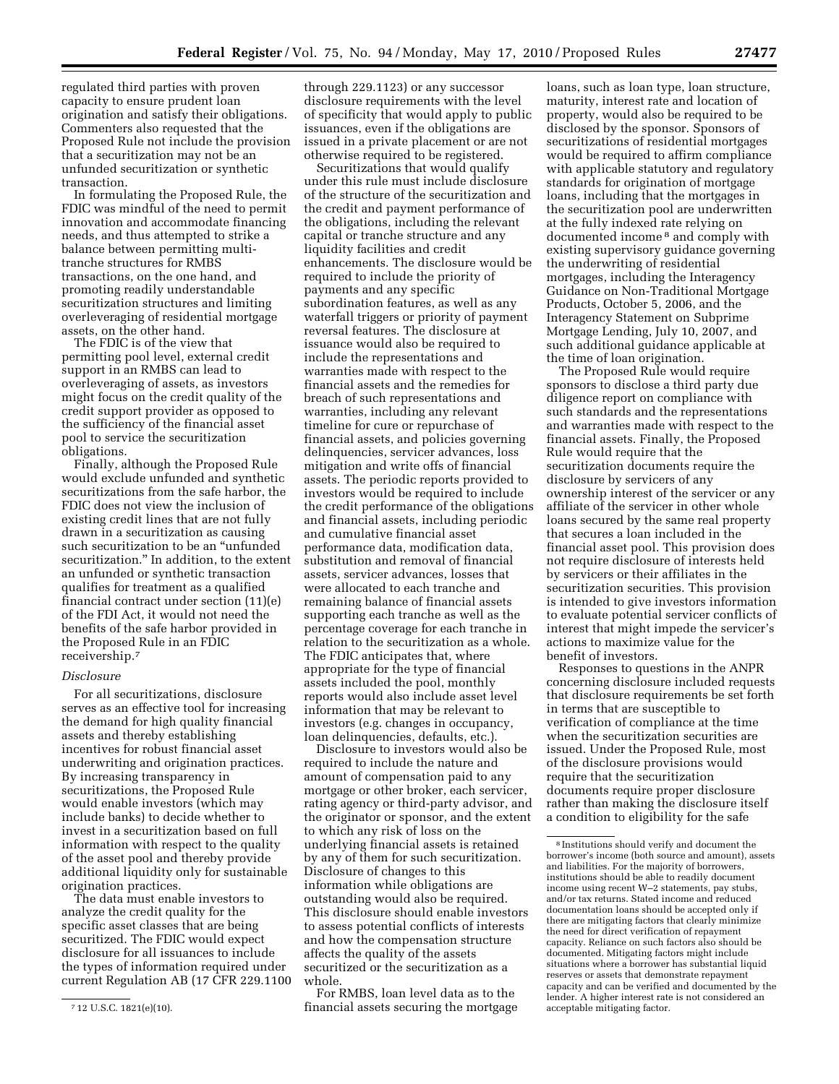regulated third parties with proven capacity to ensure prudent loan origination and satisfy their obligations. Commenters also requested that the Proposed Rule not include the provision that a securitization may not be an unfunded securitization or synthetic transaction.

In formulating the Proposed Rule, the FDIC was mindful of the need to permit innovation and accommodate financing needs, and thus attempted to strike a balance between permitting multitranche structures for RMBS transactions, on the one hand, and promoting readily understandable securitization structures and limiting overleveraging of residential mortgage assets, on the other hand.

The FDIC is of the view that permitting pool level, external credit support in an RMBS can lead to overleveraging of assets, as investors might focus on the credit quality of the credit support provider as opposed to the sufficiency of the financial asset pool to service the securitization obligations.

Finally, although the Proposed Rule would exclude unfunded and synthetic securitizations from the safe harbor, the FDIC does not view the inclusion of existing credit lines that are not fully drawn in a securitization as causing such securitization to be an ''unfunded securitization.'' In addition, to the extent an unfunded or synthetic transaction qualifies for treatment as a qualified financial contract under section (11)(e) of the FDI Act, it would not need the benefits of the safe harbor provided in the Proposed Rule in an FDIC receivership.7

## *Disclosure*

For all securitizations, disclosure serves as an effective tool for increasing the demand for high quality financial assets and thereby establishing incentives for robust financial asset underwriting and origination practices. By increasing transparency in securitizations, the Proposed Rule would enable investors (which may include banks) to decide whether to invest in a securitization based on full information with respect to the quality of the asset pool and thereby provide additional liquidity only for sustainable origination practices.

The data must enable investors to analyze the credit quality for the specific asset classes that are being securitized. The FDIC would expect disclosure for all issuances to include the types of information required under current Regulation AB (17 CFR 229.1100

through 229.1123) or any successor disclosure requirements with the level of specificity that would apply to public issuances, even if the obligations are issued in a private placement or are not otherwise required to be registered.

Securitizations that would qualify under this rule must include disclosure of the structure of the securitization and the credit and payment performance of the obligations, including the relevant capital or tranche structure and any liquidity facilities and credit enhancements. The disclosure would be required to include the priority of payments and any specific subordination features, as well as any waterfall triggers or priority of payment reversal features. The disclosure at issuance would also be required to include the representations and warranties made with respect to the financial assets and the remedies for breach of such representations and warranties, including any relevant timeline for cure or repurchase of financial assets, and policies governing delinquencies, servicer advances, loss mitigation and write offs of financial assets. The periodic reports provided to investors would be required to include the credit performance of the obligations and financial assets, including periodic and cumulative financial asset performance data, modification data, substitution and removal of financial assets, servicer advances, losses that were allocated to each tranche and remaining balance of financial assets supporting each tranche as well as the percentage coverage for each tranche in relation to the securitization as a whole. The FDIC anticipates that, where appropriate for the type of financial assets included the pool, monthly reports would also include asset level information that may be relevant to investors (e.g. changes in occupancy, loan delinquencies, defaults, etc.).

Disclosure to investors would also be required to include the nature and amount of compensation paid to any mortgage or other broker, each servicer, rating agency or third-party advisor, and the originator or sponsor, and the extent to which any risk of loss on the underlying financial assets is retained by any of them for such securitization. Disclosure of changes to this information while obligations are outstanding would also be required. This disclosure should enable investors to assess potential conflicts of interests and how the compensation structure affects the quality of the assets securitized or the securitization as a whole.

For RMBS, loan level data as to the financial assets securing the mortgage loans, such as loan type, loan structure, maturity, interest rate and location of property, would also be required to be disclosed by the sponsor. Sponsors of securitizations of residential mortgages would be required to affirm compliance with applicable statutory and regulatory standards for origination of mortgage loans, including that the mortgages in the securitization pool are underwritten at the fully indexed rate relying on documented income 8 and comply with existing supervisory guidance governing the underwriting of residential mortgages, including the Interagency Guidance on Non-Traditional Mortgage Products, October 5, 2006, and the Interagency Statement on Subprime Mortgage Lending, July 10, 2007, and such additional guidance applicable at the time of loan origination.

The Proposed Rule would require sponsors to disclose a third party due diligence report on compliance with such standards and the representations and warranties made with respect to the financial assets. Finally, the Proposed Rule would require that the securitization documents require the disclosure by servicers of any ownership interest of the servicer or any affiliate of the servicer in other whole loans secured by the same real property that secures a loan included in the financial asset pool. This provision does not require disclosure of interests held by servicers or their affiliates in the securitization securities. This provision is intended to give investors information to evaluate potential servicer conflicts of interest that might impede the servicer's actions to maximize value for the benefit of investors.

Responses to questions in the ANPR concerning disclosure included requests that disclosure requirements be set forth in terms that are susceptible to verification of compliance at the time when the securitization securities are issued. Under the Proposed Rule, most of the disclosure provisions would require that the securitization documents require proper disclosure rather than making the disclosure itself a condition to eligibility for the safe

<sup>7</sup> 12 U.S.C. 1821(e)(10).

<sup>8</sup> Institutions should verify and document the borrower's income (both source and amount), assets and liabilities. For the majority of borrowers, institutions should be able to readily document income using recent W–2 statements, pay stubs, and/or tax returns. Stated income and reduced documentation loans should be accepted only if there are mitigating factors that clearly minimize the need for direct verification of repayment capacity. Reliance on such factors also should be documented. Mitigating factors might include situations where a borrower has substantial liquid reserves or assets that demonstrate repayment capacity and can be verified and documented by the lender. A higher interest rate is not considered an acceptable mitigating factor.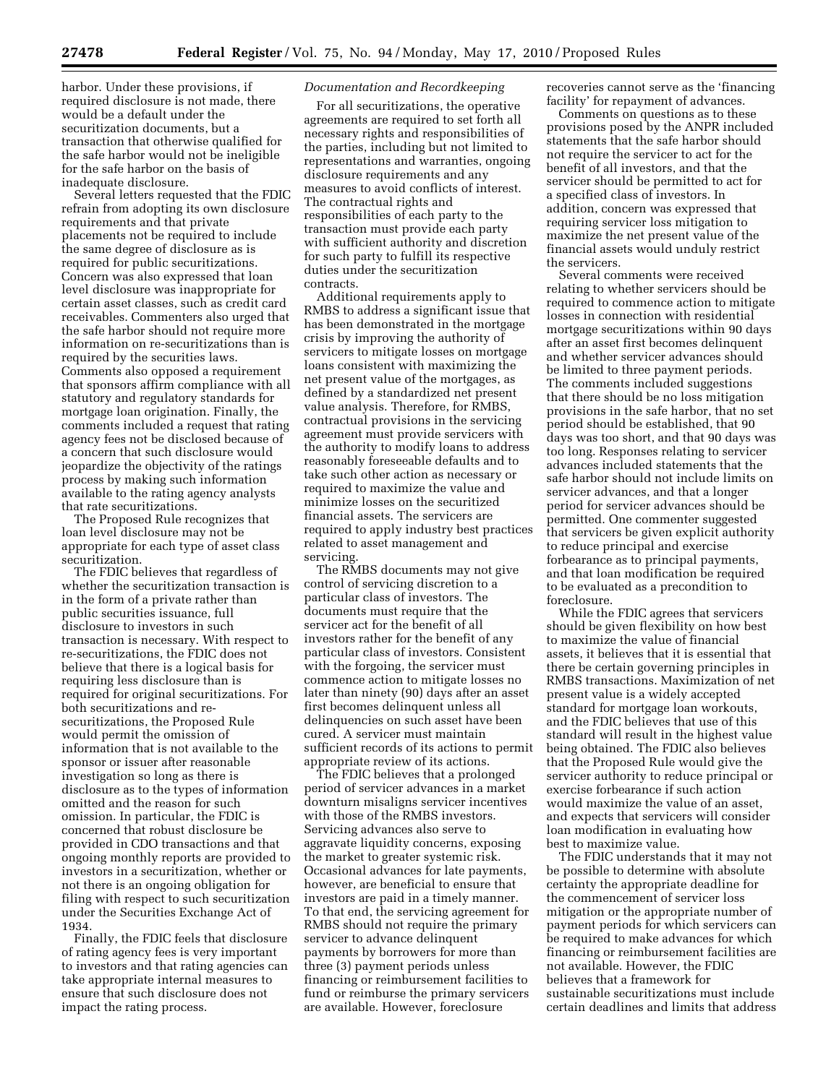harbor. Under these provisions, if required disclosure is not made, there would be a default under the securitization documents, but a transaction that otherwise qualified for the safe harbor would not be ineligible for the safe harbor on the basis of inadequate disclosure.

Several letters requested that the FDIC refrain from adopting its own disclosure requirements and that private placements not be required to include the same degree of disclosure as is required for public securitizations. Concern was also expressed that loan level disclosure was inappropriate for certain asset classes, such as credit card receivables. Commenters also urged that the safe harbor should not require more information on re-securitizations than is required by the securities laws. Comments also opposed a requirement that sponsors affirm compliance with all statutory and regulatory standards for mortgage loan origination. Finally, the comments included a request that rating agency fees not be disclosed because of a concern that such disclosure would jeopardize the objectivity of the ratings process by making such information available to the rating agency analysts that rate securitizations.

The Proposed Rule recognizes that loan level disclosure may not be appropriate for each type of asset class securitization.

The FDIC believes that regardless of whether the securitization transaction is in the form of a private rather than public securities issuance, full disclosure to investors in such transaction is necessary. With respect to re-securitizations, the FDIC does not believe that there is a logical basis for requiring less disclosure than is required for original securitizations. For both securitizations and resecuritizations, the Proposed Rule would permit the omission of information that is not available to the sponsor or issuer after reasonable investigation so long as there is disclosure as to the types of information omitted and the reason for such omission. In particular, the FDIC is concerned that robust disclosure be provided in CDO transactions and that ongoing monthly reports are provided to investors in a securitization, whether or not there is an ongoing obligation for filing with respect to such securitization under the Securities Exchange Act of 1934.

Finally, the FDIC feels that disclosure of rating agency fees is very important to investors and that rating agencies can take appropriate internal measures to ensure that such disclosure does not impact the rating process.

## *Documentation and Recordkeeping*

For all securitizations, the operative agreements are required to set forth all necessary rights and responsibilities of the parties, including but not limited to representations and warranties, ongoing disclosure requirements and any measures to avoid conflicts of interest. The contractual rights and responsibilities of each party to the transaction must provide each party with sufficient authority and discretion for such party to fulfill its respective duties under the securitization contracts.

Additional requirements apply to RMBS to address a significant issue that has been demonstrated in the mortgage crisis by improving the authority of servicers to mitigate losses on mortgage loans consistent with maximizing the net present value of the mortgages, as defined by a standardized net present value analysis. Therefore, for RMBS, contractual provisions in the servicing agreement must provide servicers with the authority to modify loans to address reasonably foreseeable defaults and to take such other action as necessary or required to maximize the value and minimize losses on the securitized financial assets. The servicers are required to apply industry best practices related to asset management and servicing.

The RMBS documents may not give control of servicing discretion to a particular class of investors. The documents must require that the servicer act for the benefit of all investors rather for the benefit of any particular class of investors. Consistent with the forgoing, the servicer must commence action to mitigate losses no later than ninety (90) days after an asset first becomes delinquent unless all delinquencies on such asset have been cured. A servicer must maintain sufficient records of its actions to permit appropriate review of its actions.

The FDIC believes that a prolonged period of servicer advances in a market downturn misaligns servicer incentives with those of the RMBS investors. Servicing advances also serve to aggravate liquidity concerns, exposing the market to greater systemic risk. Occasional advances for late payments, however, are beneficial to ensure that investors are paid in a timely manner. To that end, the servicing agreement for RMBS should not require the primary servicer to advance delinquent payments by borrowers for more than three (3) payment periods unless financing or reimbursement facilities to fund or reimburse the primary servicers are available. However, foreclosure

recoveries cannot serve as the 'financing facility' for repayment of advances.

Comments on questions as to these provisions posed by the ANPR included statements that the safe harbor should not require the servicer to act for the benefit of all investors, and that the servicer should be permitted to act for a specified class of investors. In addition, concern was expressed that requiring servicer loss mitigation to maximize the net present value of the financial assets would unduly restrict the servicers.

Several comments were received relating to whether servicers should be required to commence action to mitigate losses in connection with residential mortgage securitizations within 90 days after an asset first becomes delinquent and whether servicer advances should be limited to three payment periods. The comments included suggestions that there should be no loss mitigation provisions in the safe harbor, that no set period should be established, that 90 days was too short, and that 90 days was too long. Responses relating to servicer advances included statements that the safe harbor should not include limits on servicer advances, and that a longer period for servicer advances should be permitted. One commenter suggested that servicers be given explicit authority to reduce principal and exercise forbearance as to principal payments, and that loan modification be required to be evaluated as a precondition to foreclosure.

While the FDIC agrees that servicers should be given flexibility on how best to maximize the value of financial assets, it believes that it is essential that there be certain governing principles in RMBS transactions. Maximization of net present value is a widely accepted standard for mortgage loan workouts, and the FDIC believes that use of this standard will result in the highest value being obtained. The FDIC also believes that the Proposed Rule would give the servicer authority to reduce principal or exercise forbearance if such action would maximize the value of an asset, and expects that servicers will consider loan modification in evaluating how best to maximize value.

The FDIC understands that it may not be possible to determine with absolute certainty the appropriate deadline for the commencement of servicer loss mitigation or the appropriate number of payment periods for which servicers can be required to make advances for which financing or reimbursement facilities are not available. However, the FDIC believes that a framework for sustainable securitizations must include certain deadlines and limits that address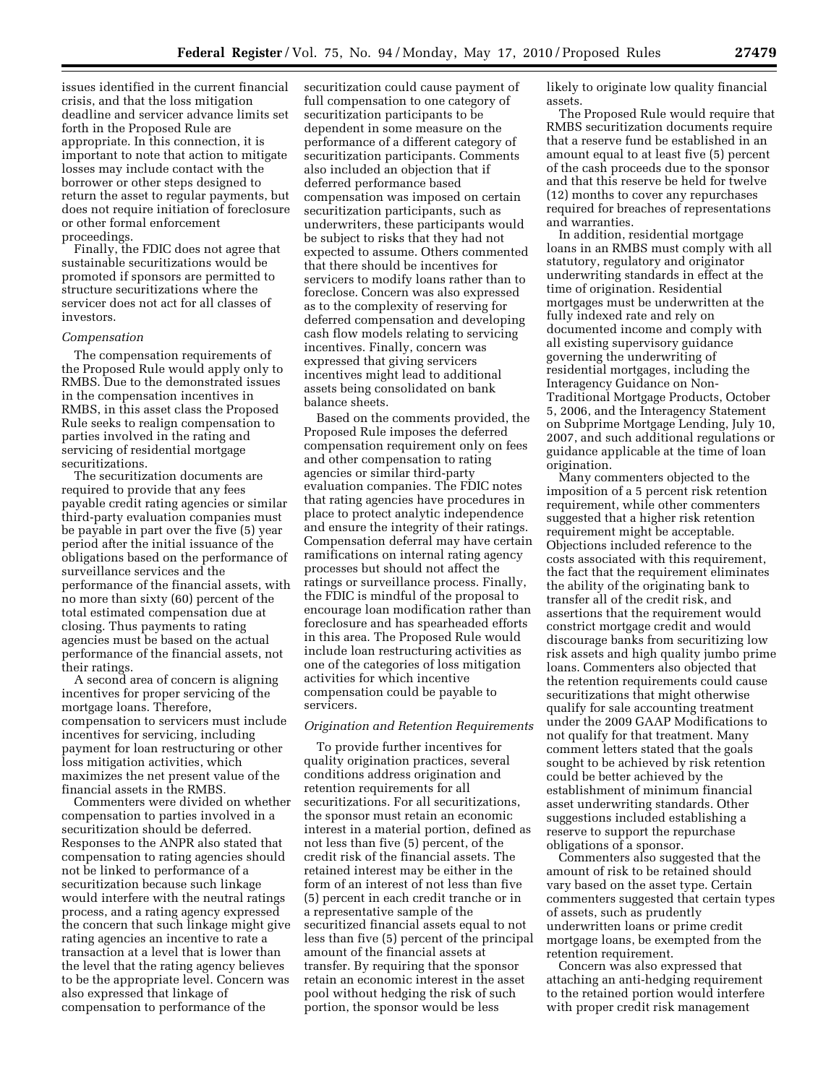issues identified in the current financial crisis, and that the loss mitigation deadline and servicer advance limits set forth in the Proposed Rule are appropriate. In this connection, it is important to note that action to mitigate losses may include contact with the borrower or other steps designed to return the asset to regular payments, but does not require initiation of foreclosure or other formal enforcement proceedings.

Finally, the FDIC does not agree that sustainable securitizations would be promoted if sponsors are permitted to structure securitizations where the servicer does not act for all classes of investors.

#### *Compensation*

The compensation requirements of the Proposed Rule would apply only to RMBS. Due to the demonstrated issues in the compensation incentives in RMBS, in this asset class the Proposed Rule seeks to realign compensation to parties involved in the rating and servicing of residential mortgage securitizations.

The securitization documents are required to provide that any fees payable credit rating agencies or similar third-party evaluation companies must be payable in part over the five (5) year period after the initial issuance of the obligations based on the performance of surveillance services and the performance of the financial assets, with no more than sixty (60) percent of the total estimated compensation due at closing. Thus payments to rating agencies must be based on the actual performance of the financial assets, not their ratings.

A second area of concern is aligning incentives for proper servicing of the mortgage loans. Therefore, compensation to servicers must include incentives for servicing, including payment for loan restructuring or other loss mitigation activities, which maximizes the net present value of the financial assets in the RMBS.

Commenters were divided on whether compensation to parties involved in a securitization should be deferred. Responses to the ANPR also stated that compensation to rating agencies should not be linked to performance of a securitization because such linkage would interfere with the neutral ratings process, and a rating agency expressed the concern that such linkage might give rating agencies an incentive to rate a transaction at a level that is lower than the level that the rating agency believes to be the appropriate level. Concern was also expressed that linkage of compensation to performance of the

securitization could cause payment of full compensation to one category of securitization participants to be dependent in some measure on the performance of a different category of securitization participants. Comments also included an objection that if deferred performance based compensation was imposed on certain securitization participants, such as underwriters, these participants would be subject to risks that they had not expected to assume. Others commented that there should be incentives for servicers to modify loans rather than to foreclose. Concern was also expressed as to the complexity of reserving for deferred compensation and developing cash flow models relating to servicing incentives. Finally, concern was expressed that giving servicers incentives might lead to additional assets being consolidated on bank balance sheets.

Based on the comments provided, the Proposed Rule imposes the deferred compensation requirement only on fees and other compensation to rating agencies or similar third-party evaluation companies. The FDIC notes that rating agencies have procedures in place to protect analytic independence and ensure the integrity of their ratings. Compensation deferral may have certain ramifications on internal rating agency processes but should not affect the ratings or surveillance process. Finally, the FDIC is mindful of the proposal to encourage loan modification rather than foreclosure and has spearheaded efforts in this area. The Proposed Rule would include loan restructuring activities as one of the categories of loss mitigation activities for which incentive compensation could be payable to servicers.

#### *Origination and Retention Requirements*

To provide further incentives for quality origination practices, several conditions address origination and retention requirements for all securitizations. For all securitizations, the sponsor must retain an economic interest in a material portion, defined as not less than five (5) percent, of the credit risk of the financial assets. The retained interest may be either in the form of an interest of not less than five (5) percent in each credit tranche or in a representative sample of the securitized financial assets equal to not less than five (5) percent of the principal amount of the financial assets at transfer. By requiring that the sponsor retain an economic interest in the asset pool without hedging the risk of such portion, the sponsor would be less

likely to originate low quality financial assets.

The Proposed Rule would require that RMBS securitization documents require that a reserve fund be established in an amount equal to at least five (5) percent of the cash proceeds due to the sponsor and that this reserve be held for twelve (12) months to cover any repurchases required for breaches of representations and warranties.

In addition, residential mortgage loans in an RMBS must comply with all statutory, regulatory and originator underwriting standards in effect at the time of origination. Residential mortgages must be underwritten at the fully indexed rate and rely on documented income and comply with all existing supervisory guidance governing the underwriting of residential mortgages, including the Interagency Guidance on Non-Traditional Mortgage Products, October 5, 2006, and the Interagency Statement on Subprime Mortgage Lending, July 10, 2007, and such additional regulations or guidance applicable at the time of loan origination.

Many commenters objected to the imposition of a 5 percent risk retention requirement, while other commenters suggested that a higher risk retention requirement might be acceptable. Objections included reference to the costs associated with this requirement, the fact that the requirement eliminates the ability of the originating bank to transfer all of the credit risk, and assertions that the requirement would constrict mortgage credit and would discourage banks from securitizing low risk assets and high quality jumbo prime loans. Commenters also objected that the retention requirements could cause securitizations that might otherwise qualify for sale accounting treatment under the 2009 GAAP Modifications to not qualify for that treatment. Many comment letters stated that the goals sought to be achieved by risk retention could be better achieved by the establishment of minimum financial asset underwriting standards. Other suggestions included establishing a reserve to support the repurchase obligations of a sponsor.

Commenters also suggested that the amount of risk to be retained should vary based on the asset type. Certain commenters suggested that certain types of assets, such as prudently underwritten loans or prime credit mortgage loans, be exempted from the retention requirement.

Concern was also expressed that attaching an anti-hedging requirement to the retained portion would interfere with proper credit risk management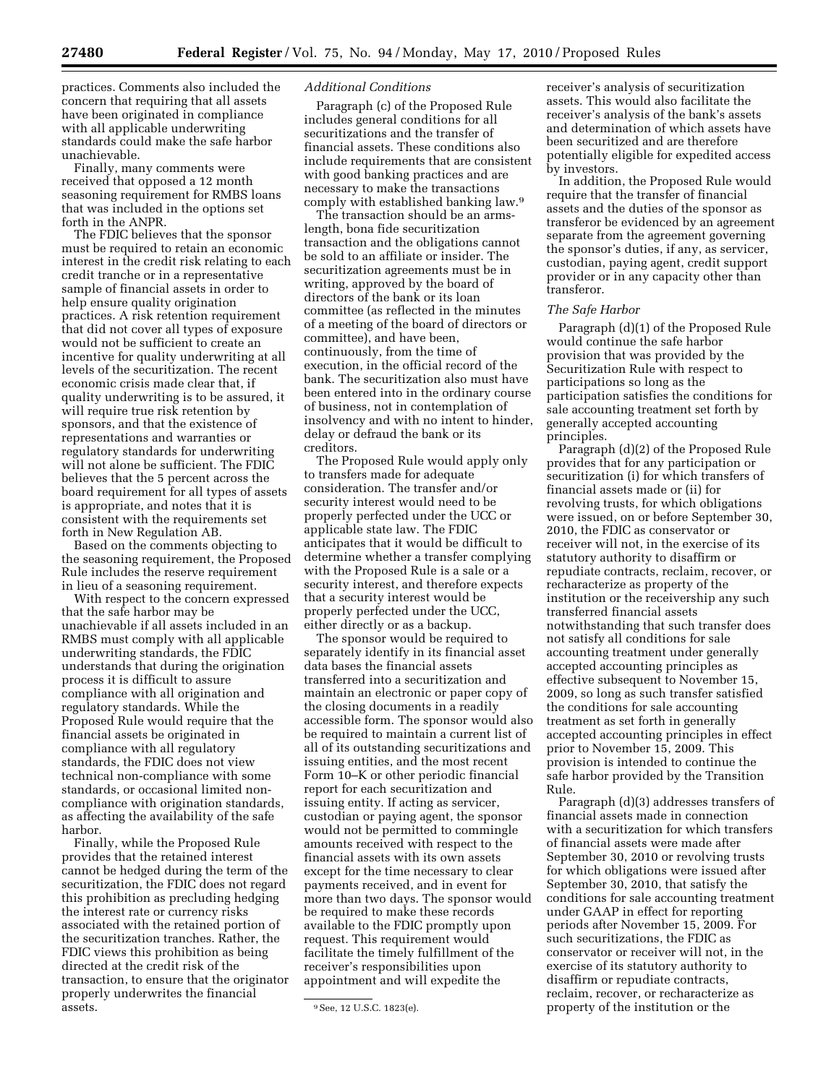practices. Comments also included the concern that requiring that all assets have been originated in compliance with all applicable underwriting standards could make the safe harbor unachievable.

Finally, many comments were received that opposed a 12 month seasoning requirement for RMBS loans that was included in the options set forth in the ANPR.

The FDIC believes that the sponsor must be required to retain an economic interest in the credit risk relating to each credit tranche or in a representative sample of financial assets in order to help ensure quality origination practices. A risk retention requirement that did not cover all types of exposure would not be sufficient to create an incentive for quality underwriting at all levels of the securitization. The recent economic crisis made clear that, if quality underwriting is to be assured, it will require true risk retention by sponsors, and that the existence of representations and warranties or regulatory standards for underwriting will not alone be sufficient. The FDIC believes that the 5 percent across the board requirement for all types of assets is appropriate, and notes that it is consistent with the requirements set forth in New Regulation AB.

Based on the comments objecting to the seasoning requirement, the Proposed Rule includes the reserve requirement in lieu of a seasoning requirement.

With respect to the concern expressed that the safe harbor may be unachievable if all assets included in an RMBS must comply with all applicable underwriting standards, the FDIC understands that during the origination process it is difficult to assure compliance with all origination and regulatory standards. While the Proposed Rule would require that the financial assets be originated in compliance with all regulatory standards, the FDIC does not view technical non-compliance with some standards, or occasional limited noncompliance with origination standards, as affecting the availability of the safe harbor.

Finally, while the Proposed Rule provides that the retained interest cannot be hedged during the term of the securitization, the FDIC does not regard this prohibition as precluding hedging the interest rate or currency risks associated with the retained portion of the securitization tranches. Rather, the FDIC views this prohibition as being directed at the credit risk of the transaction, to ensure that the originator properly underwrites the financial assets.

## *Additional Conditions*

Paragraph (c) of the Proposed Rule includes general conditions for all securitizations and the transfer of financial assets. These conditions also include requirements that are consistent with good banking practices and are necessary to make the transactions comply with established banking law.9

The transaction should be an armslength, bona fide securitization transaction and the obligations cannot be sold to an affiliate or insider. The securitization agreements must be in writing, approved by the board of directors of the bank or its loan committee (as reflected in the minutes of a meeting of the board of directors or committee), and have been, continuously, from the time of execution, in the official record of the bank. The securitization also must have been entered into in the ordinary course of business, not in contemplation of insolvency and with no intent to hinder, delay or defraud the bank or its creditors.

The Proposed Rule would apply only to transfers made for adequate consideration. The transfer and/or security interest would need to be properly perfected under the UCC or applicable state law. The FDIC anticipates that it would be difficult to determine whether a transfer complying with the Proposed Rule is a sale or a security interest, and therefore expects that a security interest would be properly perfected under the UCC, either directly or as a backup.

The sponsor would be required to separately identify in its financial asset data bases the financial assets transferred into a securitization and maintain an electronic or paper copy of the closing documents in a readily accessible form. The sponsor would also be required to maintain a current list of all of its outstanding securitizations and issuing entities, and the most recent Form 10–K or other periodic financial report for each securitization and issuing entity. If acting as servicer, custodian or paying agent, the sponsor would not be permitted to commingle amounts received with respect to the financial assets with its own assets except for the time necessary to clear payments received, and in event for more than two days. The sponsor would be required to make these records available to the FDIC promptly upon request. This requirement would facilitate the timely fulfillment of the receiver's responsibilities upon appointment and will expedite the

receiver's analysis of securitization assets. This would also facilitate the receiver's analysis of the bank's assets and determination of which assets have been securitized and are therefore potentially eligible for expedited access by investors.

In addition, the Proposed Rule would require that the transfer of financial assets and the duties of the sponsor as transferor be evidenced by an agreement separate from the agreement governing the sponsor's duties, if any, as servicer, custodian, paying agent, credit support provider or in any capacity other than transferor.

#### *The Safe Harbor*

Paragraph (d)(1) of the Proposed Rule would continue the safe harbor provision that was provided by the Securitization Rule with respect to participations so long as the participation satisfies the conditions for sale accounting treatment set forth by generally accepted accounting principles.

Paragraph (d)(2) of the Proposed Rule provides that for any participation or securitization (i) for which transfers of financial assets made or (ii) for revolving trusts, for which obligations were issued, on or before September 30, 2010, the FDIC as conservator or receiver will not, in the exercise of its statutory authority to disaffirm or repudiate contracts, reclaim, recover, or recharacterize as property of the institution or the receivership any such transferred financial assets notwithstanding that such transfer does not satisfy all conditions for sale accounting treatment under generally accepted accounting principles as effective subsequent to November 15, 2009, so long as such transfer satisfied the conditions for sale accounting treatment as set forth in generally accepted accounting principles in effect prior to November 15, 2009. This provision is intended to continue the safe harbor provided by the Transition Rule.

Paragraph (d)(3) addresses transfers of financial assets made in connection with a securitization for which transfers of financial assets were made after September 30, 2010 or revolving trusts for which obligations were issued after September 30, 2010, that satisfy the conditions for sale accounting treatment under GAAP in effect for reporting periods after November 15, 2009. For such securitizations, the FDIC as conservator or receiver will not, in the exercise of its statutory authority to disaffirm or repudiate contracts, reclaim, recover, or recharacterize as property of the institution or the

<sup>9</sup>See, 12 U.S.C. 1823(e).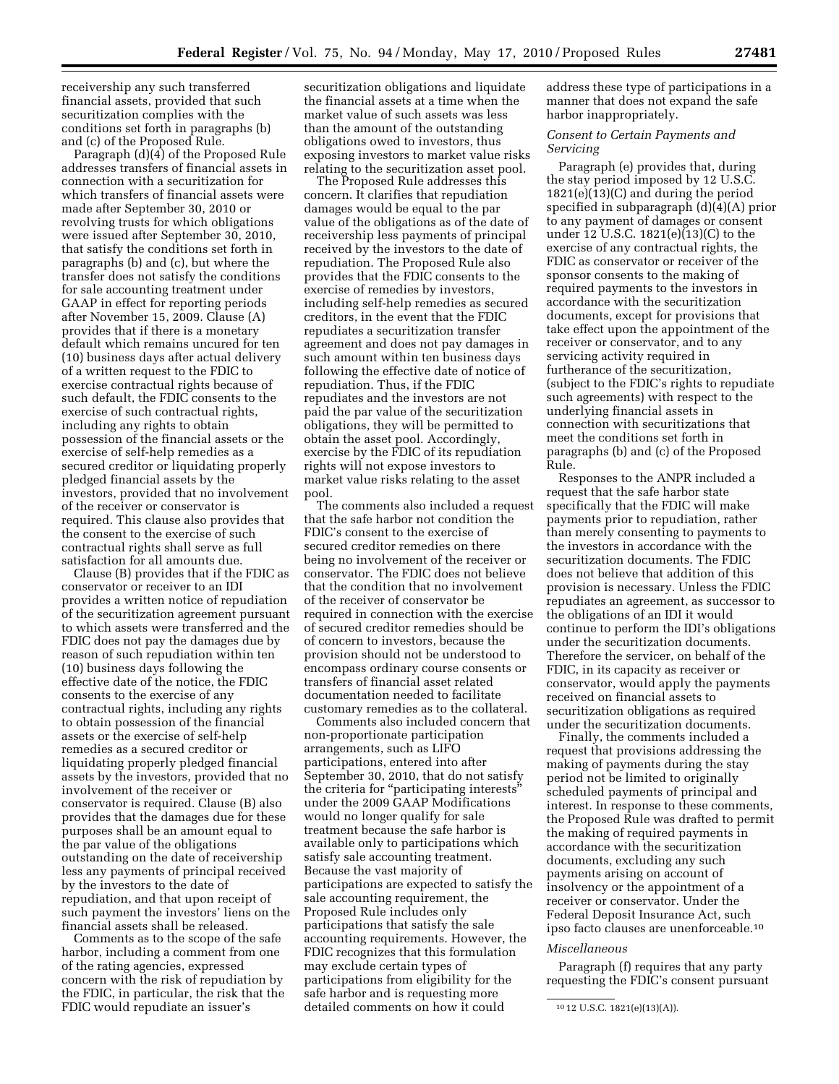receivership any such transferred financial assets, provided that such securitization complies with the conditions set forth in paragraphs (b) and (c) of the Proposed Rule.

Paragraph (d)(4) of the Proposed Rule addresses transfers of financial assets in connection with a securitization for which transfers of financial assets were made after September 30, 2010 or revolving trusts for which obligations were issued after September 30, 2010, that satisfy the conditions set forth in paragraphs (b) and (c), but where the transfer does not satisfy the conditions for sale accounting treatment under GAAP in effect for reporting periods after November 15, 2009. Clause (A) provides that if there is a monetary default which remains uncured for ten (10) business days after actual delivery of a written request to the FDIC to exercise contractual rights because of such default, the FDIC consents to the exercise of such contractual rights, including any rights to obtain possession of the financial assets or the exercise of self-help remedies as a secured creditor or liquidating properly pledged financial assets by the investors, provided that no involvement of the receiver or conservator is required. This clause also provides that the consent to the exercise of such contractual rights shall serve as full satisfaction for all amounts due.

Clause (B) provides that if the FDIC as conservator or receiver to an IDI provides a written notice of repudiation of the securitization agreement pursuant to which assets were transferred and the FDIC does not pay the damages due by reason of such repudiation within ten (10) business days following the effective date of the notice, the FDIC consents to the exercise of any contractual rights, including any rights to obtain possession of the financial assets or the exercise of self-help remedies as a secured creditor or liquidating properly pledged financial assets by the investors, provided that no involvement of the receiver or conservator is required. Clause (B) also provides that the damages due for these purposes shall be an amount equal to the par value of the obligations outstanding on the date of receivership less any payments of principal received by the investors to the date of repudiation, and that upon receipt of such payment the investors' liens on the financial assets shall be released.

Comments as to the scope of the safe harbor, including a comment from one of the rating agencies, expressed concern with the risk of repudiation by the FDIC, in particular, the risk that the FDIC would repudiate an issuer's

securitization obligations and liquidate the financial assets at a time when the market value of such assets was less than the amount of the outstanding obligations owed to investors, thus exposing investors to market value risks relating to the securitization asset pool.

The Proposed Rule addresses this concern. It clarifies that repudiation damages would be equal to the par value of the obligations as of the date of receivership less payments of principal received by the investors to the date of repudiation. The Proposed Rule also provides that the FDIC consents to the exercise of remedies by investors, including self-help remedies as secured creditors, in the event that the FDIC repudiates a securitization transfer agreement and does not pay damages in such amount within ten business days following the effective date of notice of repudiation. Thus, if the FDIC repudiates and the investors are not paid the par value of the securitization obligations, they will be permitted to obtain the asset pool. Accordingly, exercise by the FDIC of its repudiation rights will not expose investors to market value risks relating to the asset pool.

The comments also included a request that the safe harbor not condition the FDIC's consent to the exercise of secured creditor remedies on there being no involvement of the receiver or conservator. The FDIC does not believe that the condition that no involvement of the receiver of conservator be required in connection with the exercise of secured creditor remedies should be of concern to investors, because the provision should not be understood to encompass ordinary course consents or transfers of financial asset related documentation needed to facilitate customary remedies as to the collateral.

Comments also included concern that non-proportionate participation arrangements, such as LIFO participations, entered into after September 30, 2010, that do not satisfy the criteria for ''participating interests'' under the 2009 GAAP Modifications would no longer qualify for sale treatment because the safe harbor is available only to participations which satisfy sale accounting treatment. Because the vast majority of participations are expected to satisfy the sale accounting requirement, the Proposed Rule includes only participations that satisfy the sale accounting requirements. However, the FDIC recognizes that this formulation may exclude certain types of participations from eligibility for the safe harbor and is requesting more detailed comments on how it could

address these type of participations in a manner that does not expand the safe harbor inappropriately.

## *Consent to Certain Payments and Servicing*

Paragraph (e) provides that, during the stay period imposed by 12 U.S.C. 1821(e)(13)(C) and during the period specified in subparagraph (d)(4)(A) prior to any payment of damages or consent under 12 U.S.C. 1821(e)(13)(C) to the exercise of any contractual rights, the FDIC as conservator or receiver of the sponsor consents to the making of required payments to the investors in accordance with the securitization documents, except for provisions that take effect upon the appointment of the receiver or conservator, and to any servicing activity required in furtherance of the securitization, (subject to the FDIC's rights to repudiate such agreements) with respect to the underlying financial assets in connection with securitizations that meet the conditions set forth in paragraphs (b) and (c) of the Proposed Rule.

Responses to the ANPR included a request that the safe harbor state specifically that the FDIC will make payments prior to repudiation, rather than merely consenting to payments to the investors in accordance with the securitization documents. The FDIC does not believe that addition of this provision is necessary. Unless the FDIC repudiates an agreement, as successor to the obligations of an IDI it would continue to perform the IDI's obligations under the securitization documents. Therefore the servicer, on behalf of the FDIC, in its capacity as receiver or conservator, would apply the payments received on financial assets to securitization obligations as required under the securitization documents.

Finally, the comments included a request that provisions addressing the making of payments during the stay period not be limited to originally scheduled payments of principal and interest. In response to these comments, the Proposed Rule was drafted to permit the making of required payments in accordance with the securitization documents, excluding any such payments arising on account of insolvency or the appointment of a receiver or conservator. Under the Federal Deposit Insurance Act, such ipso facto clauses are unenforceable.10

## *Miscellaneous*

Paragraph (f) requires that any party requesting the FDIC's consent pursuant

<sup>10</sup> 12 U.S.C. 1821(e)(13)(A)).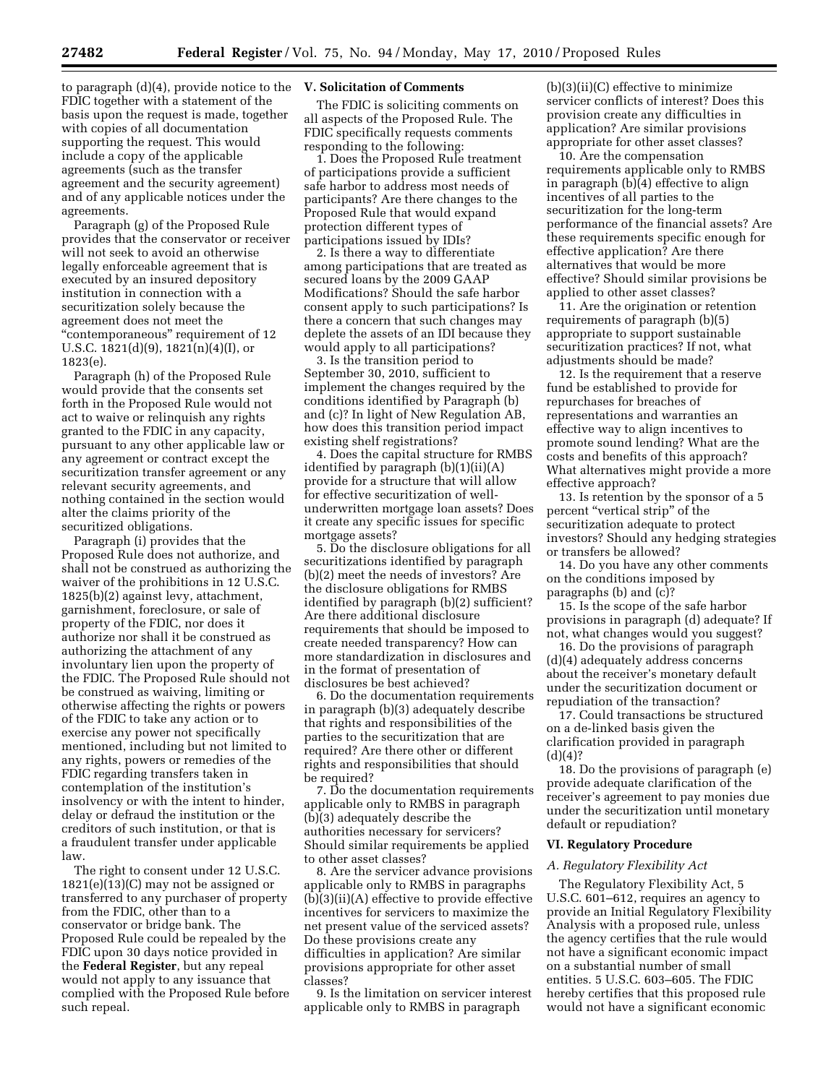to paragraph (d)(4), provide notice to the **V. Solicitation of Comments**  FDIC together with a statement of the basis upon the request is made, together with copies of all documentation supporting the request. This would include a copy of the applicable agreements (such as the transfer agreement and the security agreement) and of any applicable notices under the agreements.

Paragraph (g) of the Proposed Rule provides that the conservator or receiver will not seek to avoid an otherwise legally enforceable agreement that is executed by an insured depository institution in connection with a securitization solely because the agreement does not meet the ''contemporaneous'' requirement of 12 U.S.C.  $1821(d)(9)$ ,  $1821(n)(4)(I)$ , or 1823(e).

Paragraph (h) of the Proposed Rule would provide that the consents set forth in the Proposed Rule would not act to waive or relinquish any rights granted to the FDIC in any capacity, pursuant to any other applicable law or any agreement or contract except the securitization transfer agreement or any relevant security agreements, and nothing contained in the section would alter the claims priority of the securitized obligations.

Paragraph (i) provides that the Proposed Rule does not authorize, and shall not be construed as authorizing the waiver of the prohibitions in 12 U.S.C. 1825(b)(2) against levy, attachment, garnishment, foreclosure, or sale of property of the FDIC, nor does it authorize nor shall it be construed as authorizing the attachment of any involuntary lien upon the property of the FDIC. The Proposed Rule should not be construed as waiving, limiting or otherwise affecting the rights or powers of the FDIC to take any action or to exercise any power not specifically mentioned, including but not limited to any rights, powers or remedies of the FDIC regarding transfers taken in contemplation of the institution's insolvency or with the intent to hinder, delay or defraud the institution or the creditors of such institution, or that is a fraudulent transfer under applicable law.

The right to consent under 12 U.S.C. 1821(e)(13)(C) may not be assigned or transferred to any purchaser of property from the FDIC, other than to a conservator or bridge bank. The Proposed Rule could be repealed by the FDIC upon 30 days notice provided in the **Federal Register**, but any repeal would not apply to any issuance that complied with the Proposed Rule before such repeal.

The FDIC is soliciting comments on all aspects of the Proposed Rule. The FDIC specifically requests comments responding to the following:

1. Does the Proposed Rule treatment of participations provide a sufficient safe harbor to address most needs of participants? Are there changes to the Proposed Rule that would expand protection different types of participations issued by IDIs?

2. Is there a way to differentiate among participations that are treated as secured loans by the 2009 GAAP Modifications? Should the safe harbor consent apply to such participations? Is there a concern that such changes may deplete the assets of an IDI because they would apply to all participations?

3. Is the transition period to September 30, 2010, sufficient to implement the changes required by the conditions identified by Paragraph (b) and (c)? In light of New Regulation AB, how does this transition period impact existing shelf registrations?

4. Does the capital structure for RMBS identified by paragraph (b)(1)(ii)(A) provide for a structure that will allow for effective securitization of wellunderwritten mortgage loan assets? Does it create any specific issues for specific mortgage assets?

5. Do the disclosure obligations for all securitizations identified by paragraph (b)(2) meet the needs of investors? Are the disclosure obligations for RMBS identified by paragraph (b)(2) sufficient? Are there additional disclosure requirements that should be imposed to create needed transparency? How can more standardization in disclosures and in the format of presentation of disclosures be best achieved?

6. Do the documentation requirements in paragraph (b)(3) adequately describe that rights and responsibilities of the parties to the securitization that are required? Are there other or different rights and responsibilities that should be required?

7. Do the documentation requirements applicable only to RMBS in paragraph (b)(3) adequately describe the authorities necessary for servicers? Should similar requirements be applied to other asset classes?

8. Are the servicer advance provisions applicable only to RMBS in paragraphs (b)(3)(ii)(A) effective to provide effective incentives for servicers to maximize the net present value of the serviced assets? Do these provisions create any difficulties in application? Are similar provisions appropriate for other asset classes?

9. Is the limitation on servicer interest applicable only to RMBS in paragraph

(b)(3)(ii)(C) effective to minimize servicer conflicts of interest? Does this provision create any difficulties in application? Are similar provisions appropriate for other asset classes?

10. Are the compensation requirements applicable only to RMBS in paragraph (b)(4) effective to align incentives of all parties to the securitization for the long-term performance of the financial assets? Are these requirements specific enough for effective application? Are there alternatives that would be more effective? Should similar provisions be applied to other asset classes?

11. Are the origination or retention requirements of paragraph (b)(5) appropriate to support sustainable securitization practices? If not, what adjustments should be made?

12. Is the requirement that a reserve fund be established to provide for repurchases for breaches of representations and warranties an effective way to align incentives to promote sound lending? What are the costs and benefits of this approach? What alternatives might provide a more effective approach?

13. Is retention by the sponsor of a 5 percent ''vertical strip'' of the securitization adequate to protect investors? Should any hedging strategies or transfers be allowed?

14. Do you have any other comments on the conditions imposed by paragraphs (b) and (c)?

15. Is the scope of the safe harbor provisions in paragraph (d) adequate? If not, what changes would you suggest?

16. Do the provisions of paragraph (d)(4) adequately address concerns about the receiver's monetary default under the securitization document or repudiation of the transaction?

17. Could transactions be structured on a de-linked basis given the clarification provided in paragraph  $(d)(4)?$ 

18. Do the provisions of paragraph (e) provide adequate clarification of the receiver's agreement to pay monies due under the securitization until monetary default or repudiation?

#### **VI. Regulatory Procedure**

#### *A. Regulatory Flexibility Act*

The Regulatory Flexibility Act, 5 U.S.C. 601–612, requires an agency to provide an Initial Regulatory Flexibility Analysis with a proposed rule, unless the agency certifies that the rule would not have a significant economic impact on a substantial number of small entities. 5 U.S.C. 603–605. The FDIC hereby certifies that this proposed rule would not have a significant economic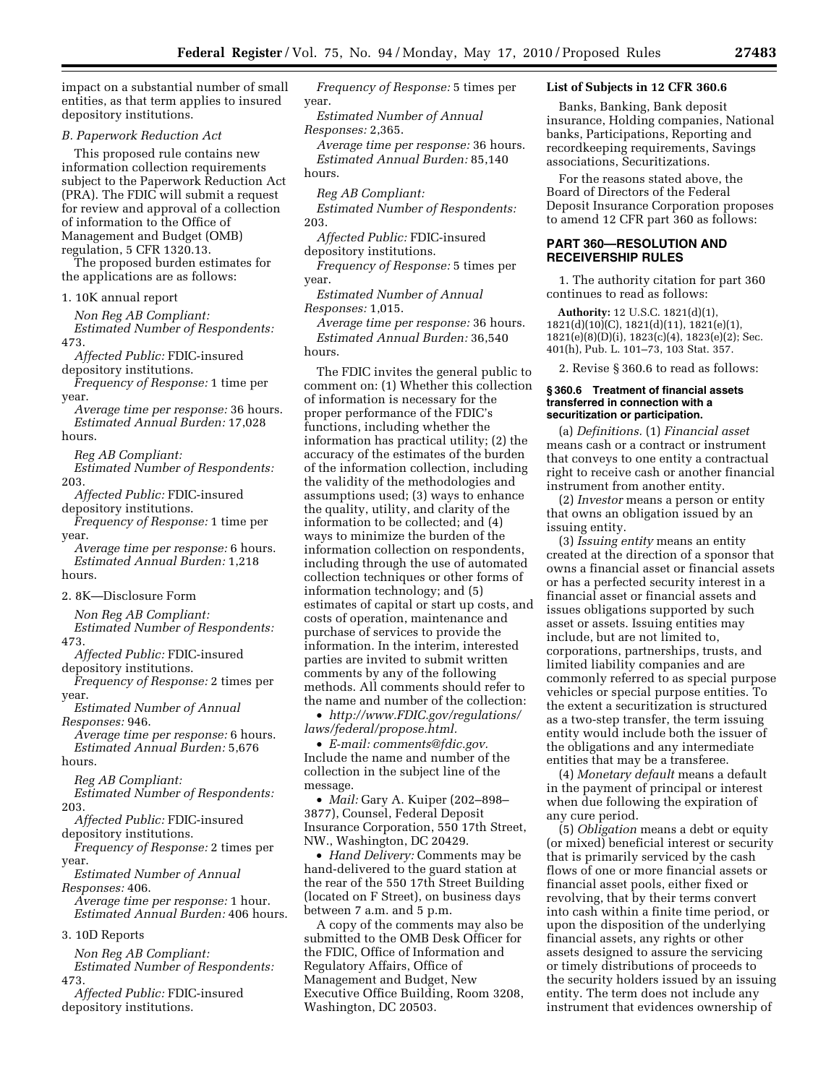impact on a substantial number of small entities, as that term applies to insured depository institutions.

*B. Paperwork Reduction Act* 

This proposed rule contains new information collection requirements subject to the Paperwork Reduction Act (PRA). The FDIC will submit a request for review and approval of a collection of information to the Office of Management and Budget (OMB) regulation, 5 CFR 1320.13.

The proposed burden estimates for the applications are as follows:

1. 10K annual report

*Non Reg AB Compliant: Estimated Number of Respondents:*  473.

*Affected Public:* FDIC-insured depository institutions.

*Frequency of Response:* 1 time per year.

*Average time per response:* 36 hours. *Estimated Annual Burden:* 17,028 hours.

*Reg AB Compliant:* 

*Estimated Number of Respondents:*  203.

*Affected Public:* FDIC-insured depository institutions.

*Frequency of Response:* 1 time per year.

*Average time per response:* 6 hours. *Estimated Annual Burden:* 1,218 hours.

2. 8K—Disclosure Form

*Non Reg AB Compliant: Estimated Number of Respondents:* 

473. *Affected Public:* FDIC-insured

depository institutions. *Frequency of Response:* 2 times per

year.

*Estimated Number of Annual Responses:* 946.

*Average time per response:* 6 hours. *Estimated Annual Burden:* 5,676 hours.

*Reg AB Compliant:* 

*Estimated Number of Respondents:*  203.

*Affected Public:* FDIC-insured depository institutions.

*Frequency of Response:* 2 times per year.

*Estimated Number of Annual* 

*Responses:* 406. *Average time per response:* 1 hour. *Estimated Annual Burden:* 406 hours.

3. 10D Reports

*Non Reg AB Compliant: Estimated Number of Respondents:*  473.

*Affected Public:* FDIC-insured depository institutions.

*Frequency of Response:* 5 times per year.

*Estimated Number of Annual Responses:* 2,365.

*Average time per response:* 36 hours. *Estimated Annual Burden:* 85,140 hours.

*Reg AB Compliant:* 

*Estimated Number of Respondents:*  203.

*Affected Public:* FDIC-insured depository institutions.

*Frequency of Response:* 5 times per year.

*Estimated Number of Annual Responses:* 1,015.

*Average time per response:* 36 hours. *Estimated Annual Burden:* 36,540 hours.

The FDIC invites the general public to comment on: (1) Whether this collection of information is necessary for the proper performance of the FDIC's functions, including whether the information has practical utility; (2) the accuracy of the estimates of the burden of the information collection, including the validity of the methodologies and assumptions used; (3) ways to enhance the quality, utility, and clarity of the information to be collected; and (4) ways to minimize the burden of the information collection on respondents, including through the use of automated collection techniques or other forms of information technology; and (5) estimates of capital or start up costs, and costs of operation, maintenance and purchase of services to provide the information. In the interim, interested parties are invited to submit written comments by any of the following methods. All comments should refer to the name and number of the collection:

• *http://www.FDIC.gov/regulations/ laws/federal/propose.html.* 

• *E-mail: comments@fdic.gov.*  Include the name and number of the collection in the subject line of the message.

• *Mail:* Gary A. Kuiper (202–898– 3877), Counsel, Federal Deposit Insurance Corporation, 550 17th Street, NW., Washington, DC 20429.

• *Hand Delivery:* Comments may be hand-delivered to the guard station at the rear of the 550 17th Street Building (located on F Street), on business days between 7 a.m. and 5 p.m.

A copy of the comments may also be submitted to the OMB Desk Officer for the FDIC, Office of Information and Regulatory Affairs, Office of Management and Budget, New Executive Office Building, Room 3208, Washington, DC 20503.

# **List of Subjects in 12 CFR 360.6**

Banks, Banking, Bank deposit insurance, Holding companies, National banks, Participations, Reporting and recordkeeping requirements, Savings associations, Securitizations.

For the reasons stated above, the Board of Directors of the Federal Deposit Insurance Corporation proposes to amend 12 CFR part 360 as follows:

## **PART 360—RESOLUTION AND RECEIVERSHIP RULES**

1. The authority citation for part 360 continues to read as follows:

**Authority:** 12 U.S.C. 1821(d)(1), 1821(d)(10)(C), 1821(d)(11), 1821(e)(1), 1821(e)(8)(D)(i), 1823(c)(4), 1823(e)(2); Sec. 401(h), Pub. L. 101–73, 103 Stat. 357.

2. Revise § 360.6 to read as follows:

#### **§ 360.6 Treatment of financial assets transferred in connection with a securitization or participation.**

(a) *Definitions.* (1) *Financial asset*  means cash or a contract or instrument that conveys to one entity a contractual right to receive cash or another financial instrument from another entity.

(2) *Investor* means a person or entity that owns an obligation issued by an issuing entity.

(3) *Issuing entity* means an entity created at the direction of a sponsor that owns a financial asset or financial assets or has a perfected security interest in a financial asset or financial assets and issues obligations supported by such asset or assets. Issuing entities may include, but are not limited to, corporations, partnerships, trusts, and limited liability companies and are commonly referred to as special purpose vehicles or special purpose entities. To the extent a securitization is structured as a two-step transfer, the term issuing entity would include both the issuer of the obligations and any intermediate entities that may be a transferee.

(4) *Monetary default* means a default in the payment of principal or interest when due following the expiration of any cure period.

(5) *Obligation* means a debt or equity (or mixed) beneficial interest or security that is primarily serviced by the cash flows of one or more financial assets or financial asset pools, either fixed or revolving, that by their terms convert into cash within a finite time period, or upon the disposition of the underlying financial assets, any rights or other assets designed to assure the servicing or timely distributions of proceeds to the security holders issued by an issuing entity. The term does not include any instrument that evidences ownership of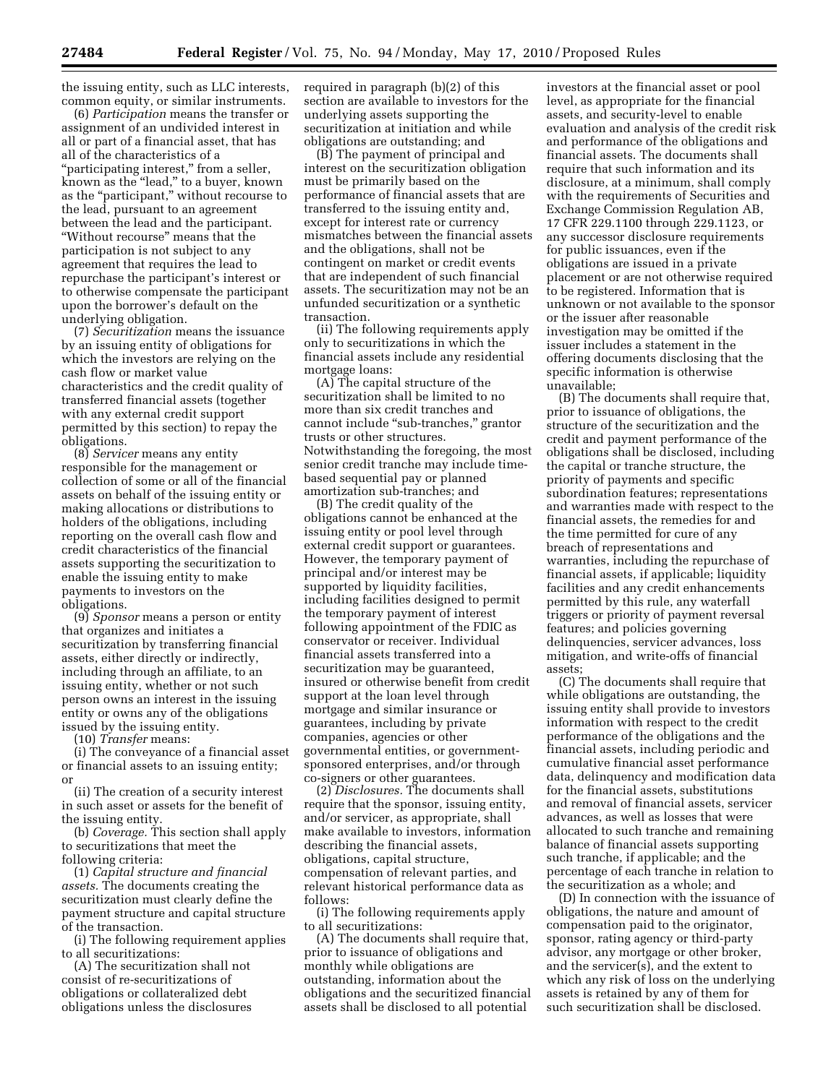the issuing entity, such as LLC interests, common equity, or similar instruments.

(6) *Participation* means the transfer or assignment of an undivided interest in all or part of a financial asset, that has all of the characteristics of a "participating interest," from a seller, known as the ''lead,'' to a buyer, known as the "participant," without recourse to the lead, pursuant to an agreement between the lead and the participant. ''Without recourse'' means that the participation is not subject to any agreement that requires the lead to repurchase the participant's interest or to otherwise compensate the participant upon the borrower's default on the underlying obligation.

(7) *Securitization* means the issuance by an issuing entity of obligations for which the investors are relying on the cash flow or market value characteristics and the credit quality of transferred financial assets (together with any external credit support permitted by this section) to repay the obligations.

(8) *Servicer* means any entity responsible for the management or collection of some or all of the financial assets on behalf of the issuing entity or making allocations or distributions to holders of the obligations, including reporting on the overall cash flow and credit characteristics of the financial assets supporting the securitization to enable the issuing entity to make payments to investors on the obligations.

(9) *Sponsor* means a person or entity that organizes and initiates a securitization by transferring financial assets, either directly or indirectly, including through an affiliate, to an issuing entity, whether or not such person owns an interest in the issuing entity or owns any of the obligations issued by the issuing entity.

(10) *Transfer* means:

(i) The conveyance of a financial asset or financial assets to an issuing entity; or

(ii) The creation of a security interest in such asset or assets for the benefit of the issuing entity.

(b) *Coverage.* This section shall apply to securitizations that meet the following criteria:

(1) *Capital structure and financial assets.* The documents creating the securitization must clearly define the payment structure and capital structure of the transaction.

(i) The following requirement applies to all securitizations:

(A) The securitization shall not consist of re-securitizations of obligations or collateralized debt obligations unless the disclosures required in paragraph (b)(2) of this section are available to investors for the underlying assets supporting the securitization at initiation and while obligations are outstanding; and

(B) The payment of principal and interest on the securitization obligation must be primarily based on the performance of financial assets that are transferred to the issuing entity and, except for interest rate or currency mismatches between the financial assets and the obligations, shall not be contingent on market or credit events that are independent of such financial assets. The securitization may not be an unfunded securitization or a synthetic transaction.

(ii) The following requirements apply only to securitizations in which the financial assets include any residential mortgage loans:

(A) The capital structure of the securitization shall be limited to no more than six credit tranches and cannot include ''sub-tranches,'' grantor trusts or other structures. Notwithstanding the foregoing, the most senior credit tranche may include timebased sequential pay or planned amortization sub-tranches; and

(B) The credit quality of the obligations cannot be enhanced at the issuing entity or pool level through external credit support or guarantees. However, the temporary payment of principal and/or interest may be supported by liquidity facilities, including facilities designed to permit the temporary payment of interest following appointment of the FDIC as conservator or receiver. Individual financial assets transferred into a securitization may be guaranteed, insured or otherwise benefit from credit support at the loan level through mortgage and similar insurance or guarantees, including by private companies, agencies or other governmental entities, or governmentsponsored enterprises, and/or through co-signers or other guarantees.

(2) *Disclosures.* The documents shall require that the sponsor, issuing entity, and/or servicer, as appropriate, shall make available to investors, information describing the financial assets, obligations, capital structure, compensation of relevant parties, and relevant historical performance data as follows:

(i) The following requirements apply to all securitizations:

(A) The documents shall require that, prior to issuance of obligations and monthly while obligations are outstanding, information about the obligations and the securitized financial assets shall be disclosed to all potential

investors at the financial asset or pool level, as appropriate for the financial assets, and security-level to enable evaluation and analysis of the credit risk and performance of the obligations and financial assets. The documents shall require that such information and its disclosure, at a minimum, shall comply with the requirements of Securities and Exchange Commission Regulation AB, 17 CFR 229.1100 through 229.1123, or any successor disclosure requirements for public issuances, even if the obligations are issued in a private placement or are not otherwise required to be registered. Information that is unknown or not available to the sponsor or the issuer after reasonable investigation may be omitted if the issuer includes a statement in the offering documents disclosing that the specific information is otherwise unavailable;

(B) The documents shall require that, prior to issuance of obligations, the structure of the securitization and the credit and payment performance of the obligations shall be disclosed, including the capital or tranche structure, the priority of payments and specific subordination features; representations and warranties made with respect to the financial assets, the remedies for and the time permitted for cure of any breach of representations and warranties, including the repurchase of financial assets, if applicable; liquidity facilities and any credit enhancements permitted by this rule, any waterfall triggers or priority of payment reversal features; and policies governing delinquencies, servicer advances, loss mitigation, and write-offs of financial assets;

(C) The documents shall require that while obligations are outstanding, the issuing entity shall provide to investors information with respect to the credit performance of the obligations and the financial assets, including periodic and cumulative financial asset performance data, delinquency and modification data for the financial assets, substitutions and removal of financial assets, servicer advances, as well as losses that were allocated to such tranche and remaining balance of financial assets supporting such tranche, if applicable; and the percentage of each tranche in relation to the securitization as a whole; and

(D) In connection with the issuance of obligations, the nature and amount of compensation paid to the originator, sponsor, rating agency or third-party advisor, any mortgage or other broker, and the servicer(s), and the extent to which any risk of loss on the underlying assets is retained by any of them for such securitization shall be disclosed.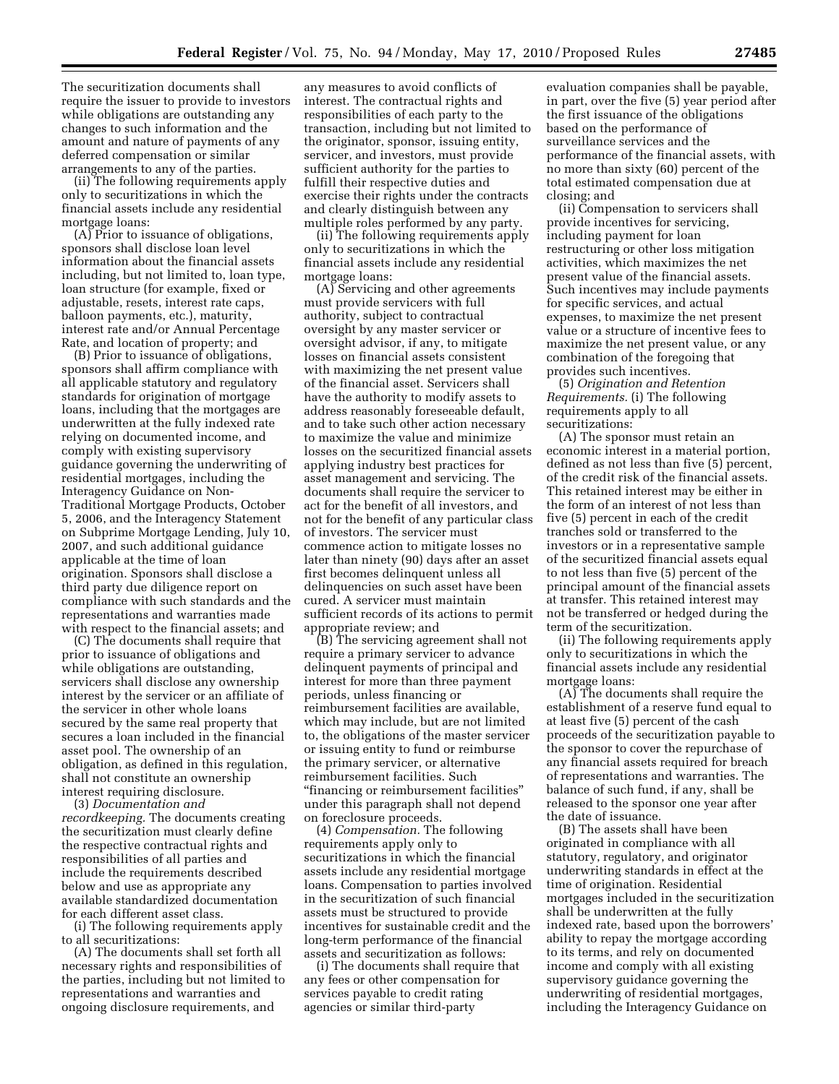The securitization documents shall require the issuer to provide to investors while obligations are outstanding any changes to such information and the amount and nature of payments of any deferred compensation or similar arrangements to any of the parties.

(ii) The following requirements apply only to securitizations in which the financial assets include any residential mortgage loans:

(A) Prior to issuance of obligations, sponsors shall disclose loan level information about the financial assets including, but not limited to, loan type, loan structure (for example, fixed or adjustable, resets, interest rate caps, balloon payments, etc.), maturity, interest rate and/or Annual Percentage Rate, and location of property; and

(B) Prior to issuance of obligations, sponsors shall affirm compliance with all applicable statutory and regulatory standards for origination of mortgage loans, including that the mortgages are underwritten at the fully indexed rate relying on documented income, and comply with existing supervisory guidance governing the underwriting of residential mortgages, including the Interagency Guidance on Non-Traditional Mortgage Products, October 5, 2006, and the Interagency Statement on Subprime Mortgage Lending, July 10, 2007, and such additional guidance applicable at the time of loan origination. Sponsors shall disclose a third party due diligence report on compliance with such standards and the representations and warranties made with respect to the financial assets; and

(C) The documents shall require that prior to issuance of obligations and while obligations are outstanding, servicers shall disclose any ownership interest by the servicer or an affiliate of the servicer in other whole loans secured by the same real property that secures a loan included in the financial asset pool. The ownership of an obligation, as defined in this regulation, shall not constitute an ownership interest requiring disclosure.

(3) *Documentation and recordkeeping.* The documents creating the securitization must clearly define the respective contractual rights and responsibilities of all parties and include the requirements described below and use as appropriate any available standardized documentation for each different asset class.

(i) The following requirements apply to all securitizations:

(A) The documents shall set forth all necessary rights and responsibilities of the parties, including but not limited to representations and warranties and ongoing disclosure requirements, and

any measures to avoid conflicts of interest. The contractual rights and responsibilities of each party to the transaction, including but not limited to the originator, sponsor, issuing entity, servicer, and investors, must provide sufficient authority for the parties to fulfill their respective duties and exercise their rights under the contracts and clearly distinguish between any multiple roles performed by any party.

(ii) The following requirements apply only to securitizations in which the financial assets include any residential mortgage loans:

(A) Servicing and other agreements must provide servicers with full authority, subject to contractual oversight by any master servicer or oversight advisor, if any, to mitigate losses on financial assets consistent with maximizing the net present value of the financial asset. Servicers shall have the authority to modify assets to address reasonably foreseeable default, and to take such other action necessary to maximize the value and minimize losses on the securitized financial assets applying industry best practices for asset management and servicing. The documents shall require the servicer to act for the benefit of all investors, and not for the benefit of any particular class of investors. The servicer must commence action to mitigate losses no later than ninety (90) days after an asset first becomes delinquent unless all delinquencies on such asset have been cured. A servicer must maintain sufficient records of its actions to permit appropriate review; and

(B) The servicing agreement shall not require a primary servicer to advance delinquent payments of principal and interest for more than three payment periods, unless financing or reimbursement facilities are available, which may include, but are not limited to, the obligations of the master servicer or issuing entity to fund or reimburse the primary servicer, or alternative reimbursement facilities. Such ''financing or reimbursement facilities'' under this paragraph shall not depend on foreclosure proceeds.

(4) *Compensation.* The following requirements apply only to securitizations in which the financial assets include any residential mortgage loans. Compensation to parties involved in the securitization of such financial assets must be structured to provide incentives for sustainable credit and the long-term performance of the financial assets and securitization as follows:

(i) The documents shall require that any fees or other compensation for services payable to credit rating agencies or similar third-party

evaluation companies shall be payable, in part, over the five (5) year period after the first issuance of the obligations based on the performance of surveillance services and the performance of the financial assets, with no more than sixty (60) percent of the total estimated compensation due at closing; and

(ii) Compensation to servicers shall provide incentives for servicing, including payment for loan restructuring or other loss mitigation activities, which maximizes the net present value of the financial assets. Such incentives may include payments for specific services, and actual expenses, to maximize the net present value or a structure of incentive fees to maximize the net present value, or any combination of the foregoing that provides such incentives.

(5) *Origination and Retention Requirements.* (i) The following requirements apply to all securitizations:

(A) The sponsor must retain an economic interest in a material portion, defined as not less than five (5) percent, of the credit risk of the financial assets. This retained interest may be either in the form of an interest of not less than five (5) percent in each of the credit tranches sold or transferred to the investors or in a representative sample of the securitized financial assets equal to not less than five (5) percent of the principal amount of the financial assets at transfer. This retained interest may not be transferred or hedged during the term of the securitization.

(ii) The following requirements apply only to securitizations in which the financial assets include any residential mortgage loans:

(A) The documents shall require the establishment of a reserve fund equal to at least five (5) percent of the cash proceeds of the securitization payable to the sponsor to cover the repurchase of any financial assets required for breach of representations and warranties. The balance of such fund, if any, shall be released to the sponsor one year after the date of issuance.

(B) The assets shall have been originated in compliance with all statutory, regulatory, and originator underwriting standards in effect at the time of origination. Residential mortgages included in the securitization shall be underwritten at the fully indexed rate, based upon the borrowers' ability to repay the mortgage according to its terms, and rely on documented income and comply with all existing supervisory guidance governing the underwriting of residential mortgages, including the Interagency Guidance on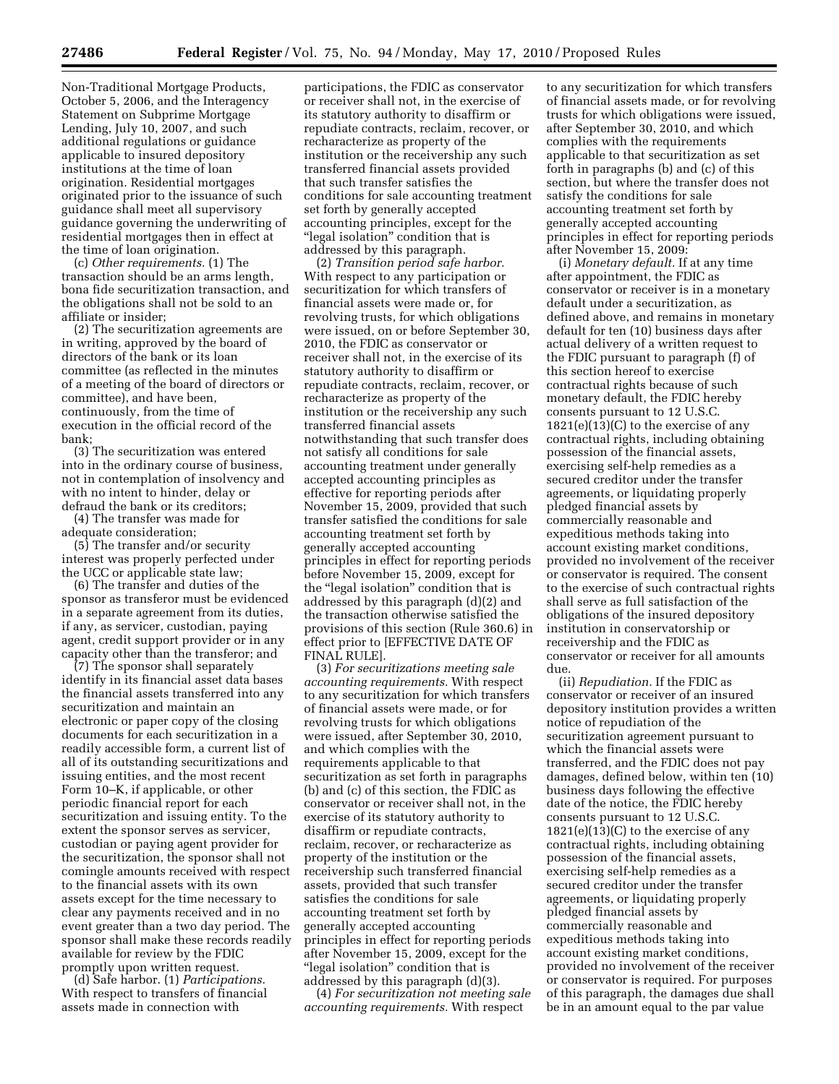Non-Traditional Mortgage Products, October 5, 2006, and the Interagency Statement on Subprime Mortgage Lending, July 10, 2007, and such additional regulations or guidance applicable to insured depository institutions at the time of loan origination. Residential mortgages originated prior to the issuance of such guidance shall meet all supervisory guidance governing the underwriting of residential mortgages then in effect at the time of loan origination.

(c) *Other requirements.* (1) The transaction should be an arms length, bona fide securitization transaction, and the obligations shall not be sold to an affiliate or insider;

(2) The securitization agreements are in writing, approved by the board of directors of the bank or its loan committee (as reflected in the minutes of a meeting of the board of directors or committee), and have been, continuously, from the time of execution in the official record of the bank;

(3) The securitization was entered into in the ordinary course of business, not in contemplation of insolvency and with no intent to hinder, delay or defraud the bank or its creditors;

(4) The transfer was made for adequate consideration;

(5) The transfer and/or security interest was properly perfected under the UCC or applicable state law;

(6) The transfer and duties of the sponsor as transferor must be evidenced in a separate agreement from its duties, if any, as servicer, custodian, paying agent, credit support provider or in any capacity other than the transferor; and

(7) The sponsor shall separately identify in its financial asset data bases the financial assets transferred into any securitization and maintain an electronic or paper copy of the closing documents for each securitization in a readily accessible form, a current list of all of its outstanding securitizations and issuing entities, and the most recent Form 10–K, if applicable, or other periodic financial report for each securitization and issuing entity. To the extent the sponsor serves as servicer, custodian or paying agent provider for the securitization, the sponsor shall not comingle amounts received with respect to the financial assets with its own assets except for the time necessary to clear any payments received and in no event greater than a two day period. The sponsor shall make these records readily available for review by the FDIC promptly upon written request.

(d) Safe harbor. (1) *Participations.*  With respect to transfers of financial assets made in connection with

participations, the FDIC as conservator or receiver shall not, in the exercise of its statutory authority to disaffirm or repudiate contracts, reclaim, recover, or recharacterize as property of the institution or the receivership any such transferred financial assets provided that such transfer satisfies the conditions for sale accounting treatment set forth by generally accepted accounting principles, except for the ''legal isolation'' condition that is addressed by this paragraph.

(2) *Transition period safe harbor.*  With respect to any participation or securitization for which transfers of financial assets were made or, for revolving trusts, for which obligations were issued, on or before September 30, 2010, the FDIC as conservator or receiver shall not, in the exercise of its statutory authority to disaffirm or repudiate contracts, reclaim, recover, or recharacterize as property of the institution or the receivership any such transferred financial assets notwithstanding that such transfer does not satisfy all conditions for sale accounting treatment under generally accepted accounting principles as effective for reporting periods after November 15, 2009, provided that such transfer satisfied the conditions for sale accounting treatment set forth by generally accepted accounting principles in effect for reporting periods before November 15, 2009, except for the "legal isolation" condition that is addressed by this paragraph (d)(2) and the transaction otherwise satisfied the provisions of this section (Rule 360.6) in effect prior to [EFFECTIVE DATE OF FINAL RULE].

(3) *For securitizations meeting sale accounting requirements.* With respect to any securitization for which transfers of financial assets were made, or for revolving trusts for which obligations were issued, after September 30, 2010, and which complies with the requirements applicable to that securitization as set forth in paragraphs (b) and (c) of this section, the FDIC as conservator or receiver shall not, in the exercise of its statutory authority to disaffirm or repudiate contracts, reclaim, recover, or recharacterize as property of the institution or the receivership such transferred financial assets, provided that such transfer satisfies the conditions for sale accounting treatment set forth by generally accepted accounting principles in effect for reporting periods after November 15, 2009, except for the ''legal isolation'' condition that is addressed by this paragraph (d)(3).

(4) *For securitization not meeting sale accounting requirements.* With respect

to any securitization for which transfers of financial assets made, or for revolving trusts for which obligations were issued, after September 30, 2010, and which complies with the requirements applicable to that securitization as set forth in paragraphs (b) and (c) of this section, but where the transfer does not satisfy the conditions for sale accounting treatment set forth by generally accepted accounting principles in effect for reporting periods after November 15, 2009:

(i) *Monetary default.* If at any time after appointment, the FDIC as conservator or receiver is in a monetary default under a securitization, as defined above, and remains in monetary default for ten (10) business days after actual delivery of a written request to the FDIC pursuant to paragraph (f) of this section hereof to exercise contractual rights because of such monetary default, the FDIC hereby consents pursuant to 12 U.S.C.  $1821(e)(13)(C)$  to the exercise of any contractual rights, including obtaining possession of the financial assets, exercising self-help remedies as a secured creditor under the transfer agreements, or liquidating properly pledged financial assets by commercially reasonable and expeditious methods taking into account existing market conditions, provided no involvement of the receiver or conservator is required. The consent to the exercise of such contractual rights shall serve as full satisfaction of the obligations of the insured depository institution in conservatorship or receivership and the FDIC as conservator or receiver for all amounts due.

(ii) *Repudiation.* If the FDIC as conservator or receiver of an insured depository institution provides a written notice of repudiation of the securitization agreement pursuant to which the financial assets were transferred, and the FDIC does not pay damages, defined below, within ten (10) business days following the effective date of the notice, the FDIC hereby consents pursuant to 12 U.S.C.  $1821(e)(13)(C)$  to the exercise of any contractual rights, including obtaining possession of the financial assets, exercising self-help remedies as a secured creditor under the transfer agreements, or liquidating properly pledged financial assets by commercially reasonable and expeditious methods taking into account existing market conditions, provided no involvement of the receiver or conservator is required. For purposes of this paragraph, the damages due shall be in an amount equal to the par value